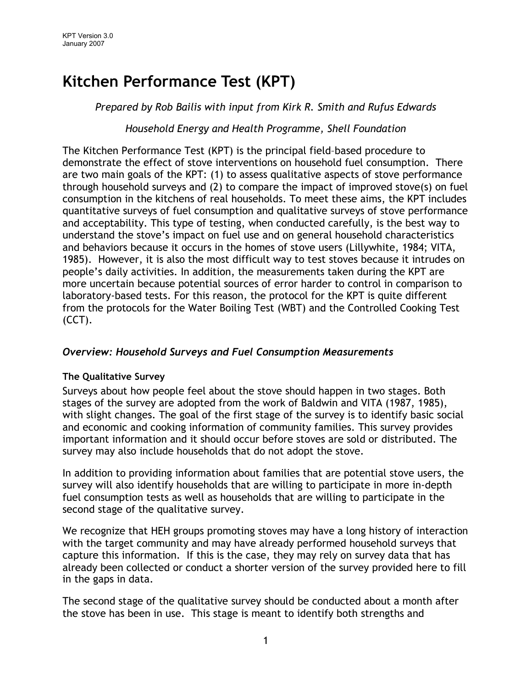# Kitchen Performance Test (KPT)

Prepared by Rob Bailis with input from Kirk R. Smith and Rufus Edwards

### Household Energy and Health Programme, Shell Foundation

The Kitchen Performance Test (KPT) is the principal field–based procedure to demonstrate the effect of stove interventions on household fuel consumption. There are two main goals of the KPT: (1) to assess qualitative aspects of stove performance through household surveys and (2) to compare the impact of improved stove(s) on fuel consumption in the kitchens of real households. To meet these aims, the KPT includes quantitative surveys of fuel consumption and qualitative surveys of stove performance and acceptability. This type of testing, when conducted carefully, is the best way to understand the stove's impact on fuel use and on general household characteristics and behaviors because it occurs in the homes of stove users (Lillywhite, 1984; VITA, 1985). However, it is also the most difficult way to test stoves because it intrudes on people's daily activities. In addition, the measurements taken during the KPT are more uncertain because potential sources of error harder to control in comparison to laboratory-based tests. For this reason, the protocol for the KPT is quite different from the protocols for the Water Boiling Test (WBT) and the Controlled Cooking Test (CCT).

## Overview: Household Surveys and Fuel Consumption Measurements

#### The Qualitative Survey

Surveys about how people feel about the stove should happen in two stages. Both stages of the survey are adopted from the work of Baldwin and VITA (1987, 1985), with slight changes. The goal of the first stage of the survey is to identify basic social and economic and cooking information of community families. This survey provides important information and it should occur before stoves are sold or distributed. The survey may also include households that do not adopt the stove.

In addition to providing information about families that are potential stove users, the survey will also identify households that are willing to participate in more in-depth fuel consumption tests as well as households that are willing to participate in the second stage of the qualitative survey.

We recognize that HEH groups promoting stoves may have a long history of interaction with the target community and may have already performed household surveys that capture this information. If this is the case, they may rely on survey data that has already been collected or conduct a shorter version of the survey provided here to fill in the gaps in data.

The second stage of the qualitative survey should be conducted about a month after the stove has been in use. This stage is meant to identify both strengths and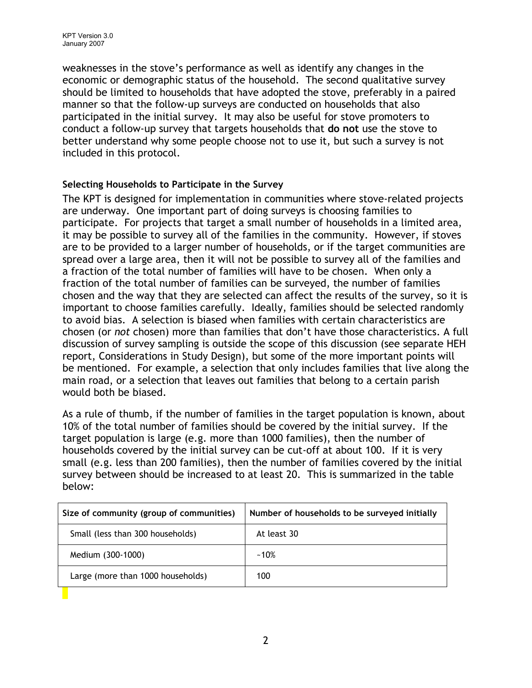weaknesses in the stove's performance as well as identify any changes in the economic or demographic status of the household. The second qualitative survey should be limited to households that have adopted the stove, preferably in a paired manner so that the follow-up surveys are conducted on households that also participated in the initial survey. It may also be useful for stove promoters to conduct a follow-up survey that targets households that do not use the stove to better understand why some people choose not to use it, but such a survey is not included in this protocol.

#### Selecting Households to Participate in the Survey

The KPT is designed for implementation in communities where stove-related projects are underway. One important part of doing surveys is choosing families to participate. For projects that target a small number of households in a limited area, it may be possible to survey all of the families in the community. However, if stoves are to be provided to a larger number of households, or if the target communities are spread over a large area, then it will not be possible to survey all of the families and a fraction of the total number of families will have to be chosen. When only a fraction of the total number of families can be surveyed, the number of families chosen and the way that they are selected can affect the results of the survey, so it is important to choose families carefully. Ideally, families should be selected randomly to avoid bias. A selection is biased when families with certain characteristics are chosen (or not chosen) more than families that don't have those characteristics. A full discussion of survey sampling is outside the scope of this discussion (see separate HEH report, Considerations in Study Design), but some of the more important points will be mentioned. For example, a selection that only includes families that live along the main road, or a selection that leaves out families that belong to a certain parish would both be biased.

As a rule of thumb, if the number of families in the target population is known, about 10% of the total number of families should be covered by the initial survey. If the target population is large (e.g. more than 1000 families), then the number of households covered by the initial survey can be cut-off at about 100. If it is very small (e.g. less than 200 families), then the number of families covered by the initial survey between should be increased to at least 20. This is summarized in the table below:

| Size of community (group of communities) | Number of households to be surveyed initially |
|------------------------------------------|-----------------------------------------------|
| Small (less than 300 households)         | At least 30                                   |
| Medium (300-1000)                        | $~10\%$                                       |
| Large (more than 1000 households)        | 100                                           |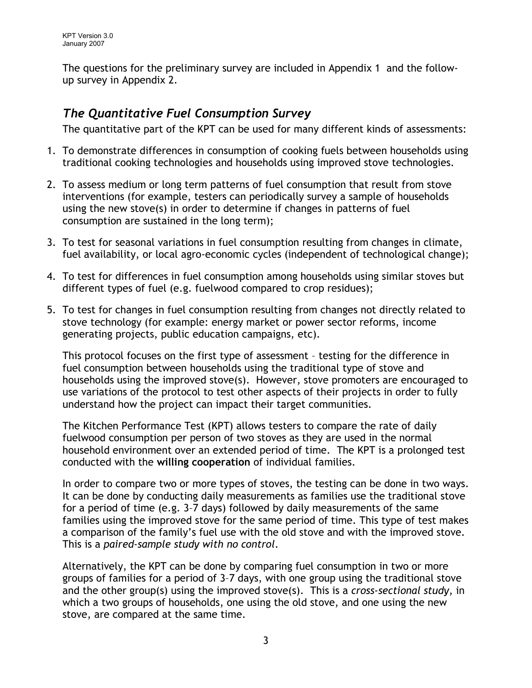The questions for the preliminary survey are included in Appendix 1 and the followup survey in Appendix 2.

# The Quantitative Fuel Consumption Survey

The quantitative part of the KPT can be used for many different kinds of assessments:

- 1. To demonstrate differences in consumption of cooking fuels between households using traditional cooking technologies and households using improved stove technologies.
- 2. To assess medium or long term patterns of fuel consumption that result from stove interventions (for example, testers can periodically survey a sample of households using the new stove(s) in order to determine if changes in patterns of fuel consumption are sustained in the long term);
- 3. To test for seasonal variations in fuel consumption resulting from changes in climate, fuel availability, or local agro-economic cycles (independent of technological change);
- 4. To test for differences in fuel consumption among households using similar stoves but different types of fuel (e.g. fuelwood compared to crop residues);
- 5. To test for changes in fuel consumption resulting from changes not directly related to stove technology (for example: energy market or power sector reforms, income generating projects, public education campaigns, etc).

This protocol focuses on the first type of assessment – testing for the difference in fuel consumption between households using the traditional type of stove and households using the improved stove(s). However, stove promoters are encouraged to use variations of the protocol to test other aspects of their projects in order to fully understand how the project can impact their target communities.

The Kitchen Performance Test (KPT) allows testers to compare the rate of daily fuelwood consumption per person of two stoves as they are used in the normal household environment over an extended period of time. The KPT is a prolonged test conducted with the willing cooperation of individual families.

In order to compare two or more types of stoves, the testing can be done in two ways. It can be done by conducting daily measurements as families use the traditional stove for a period of time (e.g. 3–7 days) followed by daily measurements of the same families using the improved stove for the same period of time. This type of test makes a comparison of the family's fuel use with the old stove and with the improved stove. This is a paired-sample study with no control.

Alternatively, the KPT can be done by comparing fuel consumption in two or more groups of families for a period of 3–7 days, with one group using the traditional stove and the other group(s) using the improved stove(s). This is a cross-sectional study, in which a two groups of households, one using the old stove, and one using the new stove, are compared at the same time.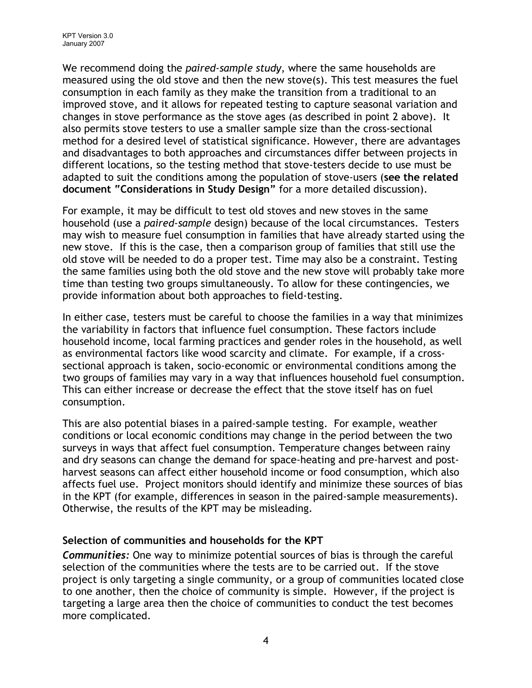We recommend doing the *paired-sample study*, where the same households are measured using the old stove and then the new stove(s). This test measures the fuel consumption in each family as they make the transition from a traditional to an improved stove, and it allows for repeated testing to capture seasonal variation and changes in stove performance as the stove ages (as described in point 2 above). It also permits stove testers to use a smaller sample size than the cross-sectional method for a desired level of statistical significance. However, there are advantages and disadvantages to both approaches and circumstances differ between projects in different locations, so the testing method that stove-testers decide to use must be adapted to suit the conditions among the population of stove-users (see the related document "Considerations in Study Design" for a more detailed discussion).

For example, it may be difficult to test old stoves and new stoves in the same household (use a paired-sample design) because of the local circumstances. Testers may wish to measure fuel consumption in families that have already started using the new stove. If this is the case, then a comparison group of families that still use the old stove will be needed to do a proper test. Time may also be a constraint. Testing the same families using both the old stove and the new stove will probably take more time than testing two groups simultaneously. To allow for these contingencies, we provide information about both approaches to field-testing.

In either case, testers must be careful to choose the families in a way that minimizes the variability in factors that influence fuel consumption. These factors include household income, local farming practices and gender roles in the household, as well as environmental factors like wood scarcity and climate. For example, if a crosssectional approach is taken, socio-economic or environmental conditions among the two groups of families may vary in a way that influences household fuel consumption. This can either increase or decrease the effect that the stove itself has on fuel consumption.

This are also potential biases in a paired-sample testing. For example, weather conditions or local economic conditions may change in the period between the two surveys in ways that affect fuel consumption. Temperature changes between rainy and dry seasons can change the demand for space-heating and pre-harvest and postharvest seasons can affect either household income or food consumption, which also affects fuel use. Project monitors should identify and minimize these sources of bias in the KPT (for example, differences in season in the paired-sample measurements). Otherwise, the results of the KPT may be misleading.

#### Selection of communities and households for the KPT

Communities: One way to minimize potential sources of bias is through the careful selection of the communities where the tests are to be carried out. If the stove project is only targeting a single community, or a group of communities located close to one another, then the choice of community is simple. However, if the project is targeting a large area then the choice of communities to conduct the test becomes more complicated.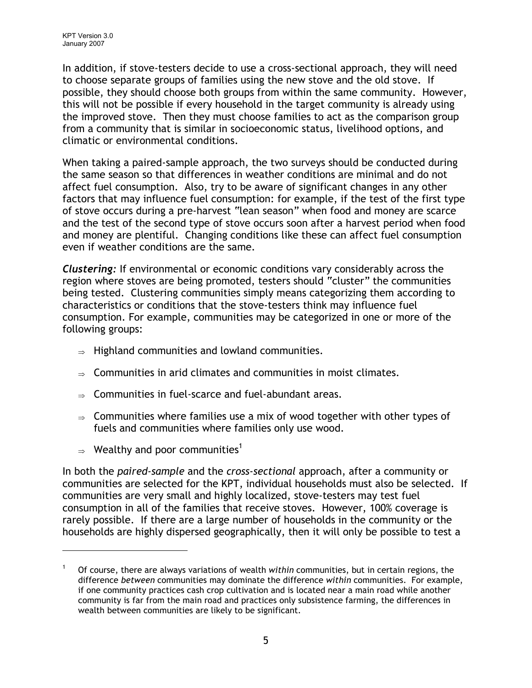In addition, if stove-testers decide to use a cross-sectional approach, they will need to choose separate groups of families using the new stove and the old stove. If possible, they should choose both groups from within the same community. However, this will not be possible if every household in the target community is already using the improved stove. Then they must choose families to act as the comparison group from a community that is similar in socioeconomic status, livelihood options, and climatic or environmental conditions.

When taking a paired-sample approach, the two surveys should be conducted during the same season so that differences in weather conditions are minimal and do not affect fuel consumption. Also, try to be aware of significant changes in any other factors that may influence fuel consumption: for example, if the test of the first type of stove occurs during a pre-harvest "lean season" when food and money are scarce and the test of the second type of stove occurs soon after a harvest period when food and money are plentiful. Changing conditions like these can affect fuel consumption even if weather conditions are the same.

Clustering: If environmental or economic conditions vary considerably across the region where stoves are being promoted, testers should "cluster" the communities being tested. Clustering communities simply means categorizing them according to characteristics or conditions that the stove-testers think may influence fuel consumption. For example, communities may be categorized in one or more of the following groups:

- <sup>⇒</sup> Highland communities and lowland communities.
- $\Rightarrow$  Communities in arid climates and communities in moist climates.
- <sup>⇒</sup> Communities in fuel-scarce and fuel-abundant areas.
- $\Rightarrow$  Communities where families use a mix of wood together with other types of fuels and communities where families only use wood.
- $\Rightarrow$  Wealthy and poor communities<sup>1</sup>

-

In both the *paired-sample* and the *cross-sectional* approach, after a community or communities are selected for the KPT, individual households must also be selected. If communities are very small and highly localized, stove-testers may test fuel consumption in all of the families that receive stoves. However, 100% coverage is rarely possible. If there are a large number of households in the community or the households are highly dispersed geographically, then it will only be possible to test a

<sup>1</sup> Of course, there are always variations of wealth within communities, but in certain regions, the difference between communities may dominate the difference within communities. For example, if one community practices cash crop cultivation and is located near a main road while another community is far from the main road and practices only subsistence farming, the differences in wealth between communities are likely to be significant.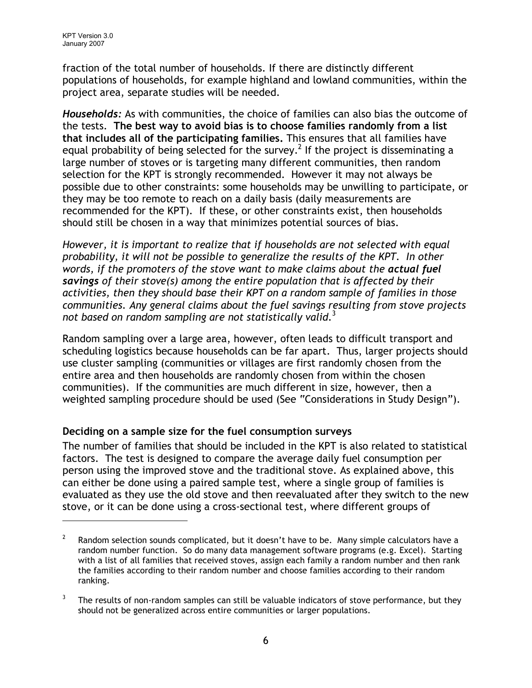fraction of the total number of households. If there are distinctly different populations of households, for example highland and lowland communities, within the project area, separate studies will be needed.

Households: As with communities, the choice of families can also bias the outcome of the tests. The best way to avoid bias is to choose families randomly from a list that includes all of the participating families. This ensures that all families have equal probability of being selected for the survey.<sup>2</sup> If the project is disseminating a large number of stoves or is targeting many different communities, then random selection for the KPT is strongly recommended. However it may not always be possible due to other constraints: some households may be unwilling to participate, or they may be too remote to reach on a daily basis (daily measurements are recommended for the KPT). If these, or other constraints exist, then households should still be chosen in a way that minimizes potential sources of bias.

However, it is important to realize that if households are not selected with equal probability, it will not be possible to generalize the results of the KPT. In other words, if the promoters of the stove want to make claims about the actual fuel savings of their stove(s) among the entire population that is affected by their activities, then they should base their KPT on a random sample of families in those communities. Any general claims about the fuel savings resulting from stove projects not based on random sampling are not statistically valid.<sup>3</sup>

Random sampling over a large area, however, often leads to difficult transport and scheduling logistics because households can be far apart. Thus, larger projects should use cluster sampling (communities or villages are first randomly chosen from the entire area and then households are randomly chosen from within the chosen communities). If the communities are much different in size, however, then a weighted sampling procedure should be used (See "Considerations in Study Design").

## Deciding on a sample size for the fuel consumption surveys

The number of families that should be included in the KPT is also related to statistical factors. The test is designed to compare the average daily fuel consumption per person using the improved stove and the traditional stove. As explained above, this can either be done using a paired sample test, where a single group of families is evaluated as they use the old stove and then reevaluated after they switch to the new stove, or it can be done using a cross-sectional test, where different groups of

<sup>2</sup> Random selection sounds complicated, but it doesn't have to be. Many simple calculators have a random number function. So do many data management software programs (e.g. Excel). Starting with a list of all families that received stoves, assign each family a random number and then rank the families according to their random number and choose families according to their random ranking.

<sup>3</sup> The results of non-random samples can still be valuable indicators of stove performance, but they should not be generalized across entire communities or larger populations.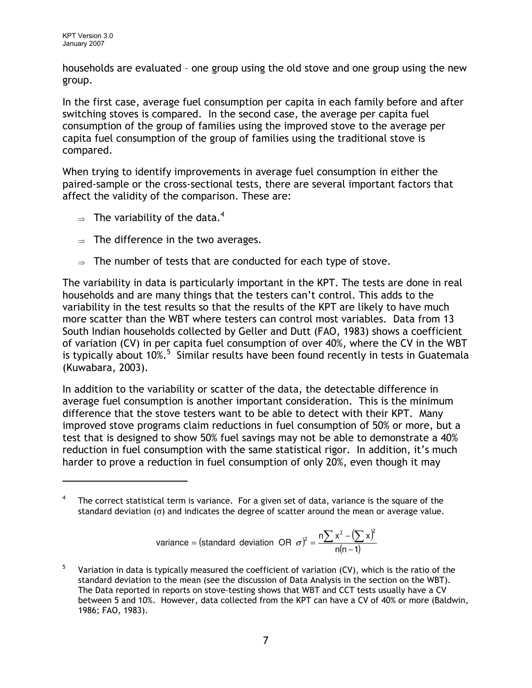households are evaluated – one group using the old stove and one group using the new group.

In the first case, average fuel consumption per capita in each family before and after switching stoves is compared. In the second case, the average per capita fuel consumption of the group of families using the improved stove to the average per capita fuel consumption of the group of families using the traditional stove is compared.

When trying to identify improvements in average fuel consumption in either the paired-sample or the cross-sectional tests, there are several important factors that affect the validity of the comparison. These are:

- $\Rightarrow$  The variability of the data.<sup>4</sup>
- $\Rightarrow$  The difference in the two averages.
- $\Rightarrow$  The number of tests that are conducted for each type of stove.

The variability in data is particularly important in the KPT. The tests are done in real households and are many things that the testers can't control. This adds to the variability in the test results so that the results of the KPT are likely to have much more scatter than the WBT where testers can control most variables. Data from 13 South Indian households collected by Geller and Dutt (FAO, 1983) shows a coefficient of variation (CV) in per capita fuel consumption of over 40%, where the CV in the WBT is typically about 10%.<sup>5</sup> Similar results have been found recently in tests in Guatemala (Kuwabara, 2003).

In addition to the variability or scatter of the data, the detectable difference in average fuel consumption is another important consideration. This is the minimum difference that the stove testers want to be able to detect with their KPT. Many improved stove programs claim reductions in fuel consumption of 50% or more, but a test that is designed to show 50% fuel savings may not be able to demonstrate a 40% reduction in fuel consumption with the same statistical rigor. In addition, it's much harder to prove a reduction in fuel consumption of only 20%, even though it may

variance = (standard deviation OR 
$$
\sigma
$$
)<sup>2</sup> =  $\frac{n\sum x^2 - (\sum x)^2}{n(n-1)}$ 

<sup>4</sup> The correct statistical term is variance. For a given set of data, variance is the square of the standard deviation (σ) and indicates the degree of scatter around the mean or average value.

<sup>5</sup> Variation in data is typically measured the coefficient of variation (CV), which is the ratio of the standard deviation to the mean (see the discussion of Data Analysis in the section on the WBT). The Data reported in reports on stove-testing shows that WBT and CCT tests usually have a CV between 5 and 10%. However, data collected from the KPT can have a CV of 40% or more (Baldwin, 1986; FAO, 1983).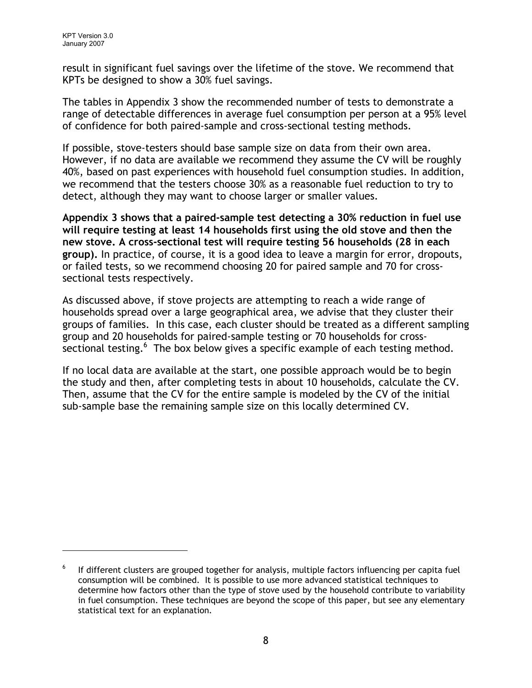result in significant fuel savings over the lifetime of the stove. We recommend that KPTs be designed to show a 30% fuel savings.

The tables in Appendix 3 show the recommended number of tests to demonstrate a range of detectable differences in average fuel consumption per person at a 95% level of confidence for both paired-sample and cross-sectional testing methods.

If possible, stove-testers should base sample size on data from their own area. However, if no data are available we recommend they assume the CV will be roughly 40%, based on past experiences with household fuel consumption studies. In addition, we recommend that the testers choose 30% as a reasonable fuel reduction to try to detect, although they may want to choose larger or smaller values.

Appendix 3 shows that a paired-sample test detecting a 30% reduction in fuel use will require testing at least 14 households first using the old stove and then the new stove. A cross-sectional test will require testing 56 households (28 in each group). In practice, of course, it is a good idea to leave a margin for error, dropouts, or failed tests, so we recommend choosing 20 for paired sample and 70 for crosssectional tests respectively.

As discussed above, if stove projects are attempting to reach a wide range of households spread over a large geographical area, we advise that they cluster their groups of families. In this case, each cluster should be treated as a different sampling group and 20 households for paired-sample testing or 70 households for crosssectional testing.<sup>6</sup> The box below gives a specific example of each testing method.

If no local data are available at the start, one possible approach would be to begin the study and then, after completing tests in about 10 households, calculate the CV. Then, assume that the CV for the entire sample is modeled by the CV of the initial sub-sample base the remaining sample size on this locally determined CV.

<sup>6</sup> If different clusters are grouped together for analysis, multiple factors influencing per capita fuel consumption will be combined. It is possible to use more advanced statistical techniques to determine how factors other than the type of stove used by the household contribute to variability in fuel consumption. These techniques are beyond the scope of this paper, but see any elementary statistical text for an explanation.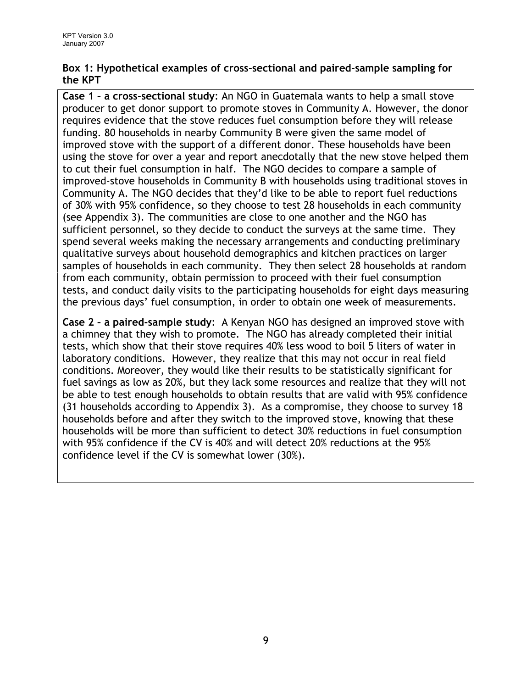#### Box 1: Hypothetical examples of cross-sectional and paired-sample sampling for the KPT

Case 1 – a cross-sectional study: An NGO in Guatemala wants to help a small stove producer to get donor support to promote stoves in Community A. However, the donor requires evidence that the stove reduces fuel consumption before they will release funding. 80 households in nearby Community B were given the same model of improved stove with the support of a different donor. These households have been using the stove for over a year and report anecdotally that the new stove helped them to cut their fuel consumption in half. The NGO decides to compare a sample of improved-stove households in Community B with households using traditional stoves in Community A. The NGO decides that they'd like to be able to report fuel reductions of 30% with 95% confidence, so they choose to test 28 households in each community (see Appendix 3). The communities are close to one another and the NGO has sufficient personnel, so they decide to conduct the surveys at the same time. They spend several weeks making the necessary arrangements and conducting preliminary qualitative surveys about household demographics and kitchen practices on larger samples of households in each community. They then select 28 households at random from each community, obtain permission to proceed with their fuel consumption tests, and conduct daily visits to the participating households for eight days measuring the previous days' fuel consumption, in order to obtain one week of measurements.

Case 2 – a paired-sample study: A Kenyan NGO has designed an improved stove with a chimney that they wish to promote. The NGO has already completed their initial tests, which show that their stove requires 40% less wood to boil 5 liters of water in laboratory conditions. However, they realize that this may not occur in real field conditions. Moreover, they would like their results to be statistically significant for fuel savings as low as 20%, but they lack some resources and realize that they will not be able to test enough households to obtain results that are valid with 95% confidence (31 households according to Appendix 3). As a compromise, they choose to survey 18 households before and after they switch to the improved stove, knowing that these households will be more than sufficient to detect 30% reductions in fuel consumption with 95% confidence if the CV is 40% and will detect 20% reductions at the 95% confidence level if the CV is somewhat lower (30%).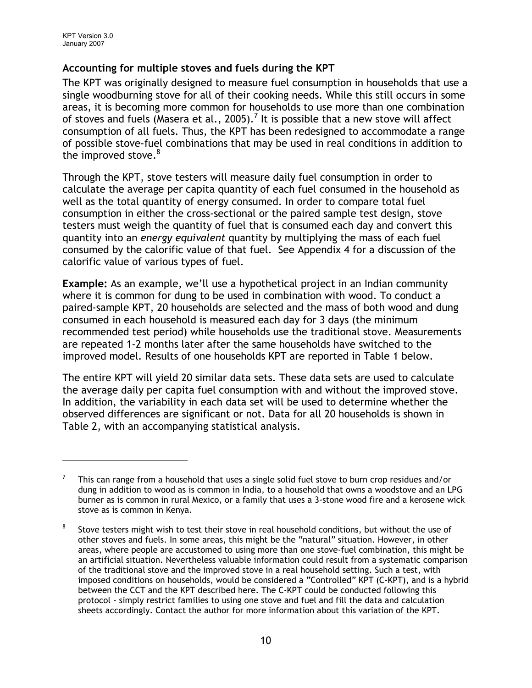### Accounting for multiple stoves and fuels during the KPT

The KPT was originally designed to measure fuel consumption in households that use a single woodburning stove for all of their cooking needs. While this still occurs in some areas, it is becoming more common for households to use more than one combination of stoves and fuels (Masera et al., 2005).<sup>7</sup> It is possible that a new stove will affect consumption of all fuels. Thus, the KPT has been redesigned to accommodate a range of possible stove-fuel combinations that may be used in real conditions in addition to the improved stove. $8^8$ 

Through the KPT, stove testers will measure daily fuel consumption in order to calculate the average per capita quantity of each fuel consumed in the household as well as the total quantity of energy consumed. In order to compare total fuel consumption in either the cross-sectional or the paired sample test design, stove testers must weigh the quantity of fuel that is consumed each day and convert this quantity into an energy equivalent quantity by multiplying the mass of each fuel consumed by the calorific value of that fuel. See Appendix 4 for a discussion of the calorific value of various types of fuel.

Example: As an example, we'll use a hypothetical project in an Indian community where it is common for dung to be used in combination with wood. To conduct a paired-sample KPT, 20 households are selected and the mass of both wood and dung consumed in each household is measured each day for 3 days (the minimum recommended test period) while households use the traditional stove. Measurements are repeated 1-2 months later after the same households have switched to the improved model. Results of one households KPT are reported in Table 1 below.

The entire KPT will yield 20 similar data sets. These data sets are used to calculate the average daily per capita fuel consumption with and without the improved stove. In addition, the variability in each data set will be used to determine whether the observed differences are significant or not. Data for all 20 households is shown in Table 2, with an accompanying statistical analysis.

<sup>7</sup> This can range from a household that uses a single solid fuel stove to burn crop residues and/or dung in addition to wood as is common in India, to a household that owns a woodstove and an LPG burner as is common in rural Mexico, or a family that uses a 3-stone wood fire and a kerosene wick stove as is common in Kenya.

<sup>8</sup> Stove testers might wish to test their stove in real household conditions, but without the use of other stoves and fuels. In some areas, this might be the "natural" situation. However, in other areas, where people are accustomed to using more than one stove-fuel combination, this might be an artificial situation. Nevertheless valuable information could result from a systematic comparison of the traditional stove and the improved stove in a real household setting. Such a test, with imposed conditions on households, would be considered a "Controlled" KPT (C-KPT), and is a hybrid between the CCT and the KPT described here. The C-KPT could be conducted following this protocol - simply restrict families to using one stove and fuel and fill the data and calculation sheets accordingly. Contact the author for more information about this variation of the KPT.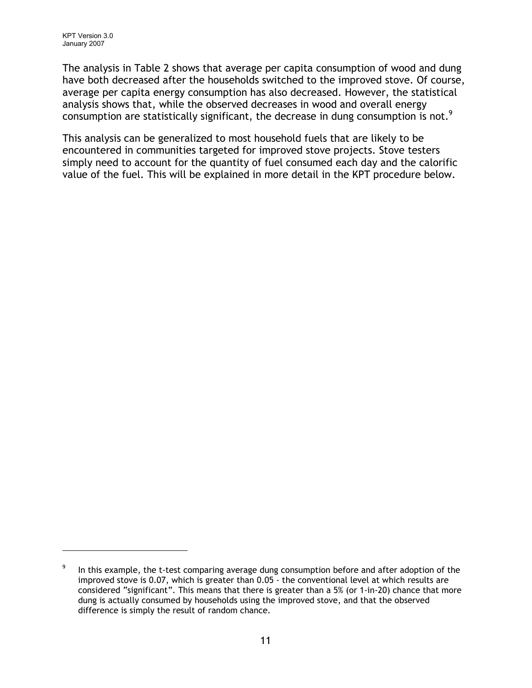The analysis in Table 2 shows that average per capita consumption of wood and dung have both decreased after the households switched to the improved stove. Of course, average per capita energy consumption has also decreased. However, the statistical analysis shows that, while the observed decreases in wood and overall energy consumption are statistically significant, the decrease in dung consumption is not.<sup>9</sup>

This analysis can be generalized to most household fuels that are likely to be encountered in communities targeted for improved stove projects. Stove testers simply need to account for the quantity of fuel consumed each day and the calorific value of the fuel. This will be explained in more detail in the KPT procedure below.

<sup>9</sup> In this example, the t-test comparing average dung consumption before and after adoption of the improved stove is 0.07, which is greater than 0.05 - the conventional level at which results are considered "significant". This means that there is greater than a 5% (or 1-in-20) chance that more dung is actually consumed by households using the improved stove, and that the observed difference is simply the result of random chance.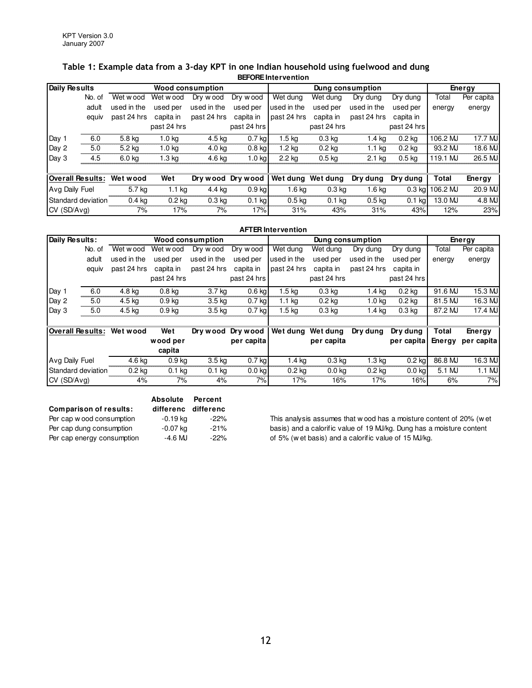#### Table 1: Example data from a 3-day KPT in one Indian household using fuelwood and dung **BEFORE Intervention**

| Daily Results             |        | Wood consumption |                   |                   | Dung consumption  |                   |                   |                   | Energy      |                 |            |
|---------------------------|--------|------------------|-------------------|-------------------|-------------------|-------------------|-------------------|-------------------|-------------|-----------------|------------|
|                           | No. of | Wet wood         | Wet wood          | Dry wood          | Dry wood          | Wet dung          | Wet dung          | Dry dung          | Dry dung    | Total           | Per capita |
|                           | adult  | used in the      | used per          | used in the       | used per          | used in the       | used per          | used in the       | used per    | energy          | energy     |
|                           | equiv  | past 24 hrs      | capita in         | past 24 hrs       | capita in         | past 24 hrs       | capita in         | past 24 hrs       | capita in   |                 |            |
|                           |        |                  | past 24 hrs       |                   | past 24 hrs       |                   | past 24 hrs       |                   | past 24 hrs |                 |            |
| Day 1                     | 6.0    | 5.8 kg           | 1.0 <sub>k</sub>  | 4.5 kg            | $0.7$ kg          | 1.5 <sub>kq</sub> | 0.3 <sub>kq</sub> | 1.4 ka            | 0.2 ka      | 106.2 MJ        | 17.7 MJ    |
| Day 2                     | 5.0    | 5.2 kg           | 1.0 <sub>kq</sub> | 4.0 kg            | $0.8$ kg          | 1.2 <sub>kq</sub> | $0.2$ kg          | 1.1 <sub>kq</sub> | $0.2$ kg    | 93.2 MJ         | 18.6 MJ    |
| Day3                      | 4.5    | 6.0 kg           | 1.3 kg            | 4.6 kg            | $1.0$ kg          | 2.2 kg            | 0.5 <sub>kq</sub> | $2.1$ kg          | 0.5 kg      | 119.1 MJ        | 26.5 MJ    |
|                           |        |                  |                   |                   |                   |                   |                   |                   |             |                 |            |
| Overall Results:          |        | Wet wood         | Wet               |                   | Dry wood Dry wood | Wet dung Wet dung |                   | Dry dung          | Dry dung    | Total           | Energy     |
| Avg Daily Fuel            |        | 5.7 kg           | $1.1$ kg          | 4.4 kg            | $0.9$ kg          | 1.6 kg            | 0.3 <sub>kq</sub> | 1.6 <sub>kq</sub> |             | 0.3 kg 106.2 MJ | 20.9 MJ    |
| <b>Standard deviation</b> |        | $0.4$ kg         | $0.2$ kg          | 0.3 <sub>kq</sub> | $0.1$ kg          | 0.5 <sub>kq</sub> | $0.1$ kg          | 0.5 <sub>kq</sub> | $0.1$ kg    | 13.0 MJ         | 4.8 MJ     |
| ICV (SD/Ava)              |        | 7%               | 17%               | 7%                | 17%               | 31%               | 43%               | 31%               | 43%         | 12%             | 23%        |

|                  | <b>AFTER Intervention</b> |                  |                   |                  |             |                   |                   |                  |                   |         |            |
|------------------|---------------------------|------------------|-------------------|------------------|-------------|-------------------|-------------------|------------------|-------------------|---------|------------|
| Daily Results:   |                           |                  |                   | Wood consumption |             |                   |                   | Dung consumption |                   | Energy  |            |
|                  | No. of                    | Wet wood         | Wet wood          | Dry wood         | Dry wood    | Wet dung          | Wet dung          | Dry dung         | Dry dung          | Total   | Per capita |
|                  | adult                     | used in the      | used per          | used in the      | used per    | used in the       | used per          | used in the      | used per          | energy  | energy     |
|                  | equiv                     | past 24 hrs      | capita in         | past 24 hrs      | capita in   | past 24 hrs       | capita in         | past 24 hrs      | capita in         |         |            |
|                  |                           |                  | past 24 hrs       |                  | past 24 hrs |                   | past 24 hrs       |                  | past 24 hrs       |         |            |
| Day 1            | 6.0                       | 4.8 kg           | 0.8 <sub>kq</sub> | 3.7 kg           | $0.6$ kg    | $1.5 \text{ kg}$  | 0.3 <sub>kq</sub> | 1.4 kg           | $0.2$ kg          | 91.6 MJ | 15.3 MJ    |
| Day 2            | 5.0                       | 4.5 kg           | 0.9 <sub>kq</sub> | 3.5 kg           | $0.7$ kg    | $1.1$ kg          | 0.2 <sub>kq</sub> | 1.0 ka           | $0.2$ kg          | 81.5 MJ | 16.3 MJ    |
| Day 3            | 5.0                       | $4.5 \text{ kg}$ | 0.9 <sub>kq</sub> | 3.5 kg           | $0.7$ kg    | $1.5 \text{ kg}$  | 0.3 <sub>kq</sub> | 1.4 kg           | 0.3 <sub>kq</sub> | 87.2 MJ | 17.4 MJ    |
|                  |                           |                  |                   |                  |             |                   |                   |                  |                   |         |            |
| Overall Results: |                           | Wet wood         | Wet               | Dry wood         | Dry wood    | Wet dung          | Wet dung          | Dry dung         | Dry dung          | Total   | Energy     |
|                  |                           |                  | wood per          |                  | per capita  |                   | per capita        |                  | per capita        | Energy  | per capita |
|                  |                           |                  | capita            |                  |             |                   |                   |                  |                   |         |            |
| Avg Daily Fuel   |                           | 4.6 kg           | $0.9$ kg          | $3.5 \text{ kg}$ | $0.7$ kg    | $1.4$ kg          | $0.3$ kg          | $1.3 \text{ kg}$ | $0.2$ kg          | 86.8 MJ | 16.3 MJ    |
|                  | Standard deviation        | $0.2$ kg         | $0.1$ kg          | $0.1$ kg         | $0.0$ kg    | 0.2 <sub>kq</sub> | 0.0 <sub>kq</sub> | $0.2$ kg         | $0.0$ kg          | 5.1 MJ  | $1.1$ MJ   |
| CV (SD/Avg)      |                           | 4%               | 7%                | 4%               | 7%          | 17%               | 16%               | 17%              | 16%               | 6%      | 7%         |

|                               | <b>Absolute</b>     | Percent |
|-------------------------------|---------------------|---------|
| <b>Comparison of results:</b> | differenc differenc |         |
| Per cap w ood consumption     | $-0.19$ kg          | $-22\%$ |
| Per cap dung consumption      | $-0.07$ kg          | $-21%$  |
| Per cap energy consumption    | -4.6 MJ             | $-22%$  |

This analysis assumes that w ood has a moisture content of 20% (w et basis) and a calorific value of 19 MJ/kg. Dung has a moisture content of 5% (w et basis) and a calorific value of 15 MJ/kg.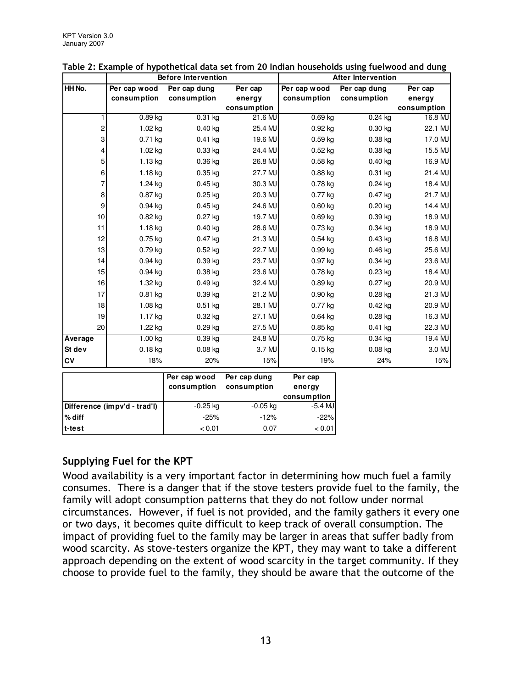|                  | <b>Before Intervention</b>   |              | <b>After Intervention</b> |                       |              |             |
|------------------|------------------------------|--------------|---------------------------|-----------------------|--------------|-------------|
| HH No.           | Per cap wood                 | Per cap dung | Per cap                   | Per cap wood          | Per cap dung | Per cap     |
|                  | consumption                  | consumption  | energy                    | consumption           | consumption  | energy      |
|                  |                              |              | consumption               |                       |              | consumption |
| 1                | $0.89$ kg                    | $0.31$ kg    | 21.6 MJ                   | $0.69$ kg             | $0.24$ kg    | 16.8 MJ     |
| $\frac{2}{ }$    | 1.02 kg                      | $0.40$ kg    | 25.4 MJ                   | $0.92$ kg             | $0.30$ kg    | 22.1 MJ     |
| $\mathbf{S}$     | $0.71$ kg                    | $0.41$ kg    | 19.6 MJ                   | 0.59 kg               | $0.38$ kg    | 17.0 MJ     |
| $\vert 4 \vert$  | $1.02$ kg                    | $0.33$ kg    | 24.4 MJ                   | $0.52$ kg             | $0.38$ kg    | 15.5 MJ     |
| $\mathbf{5}$     | $1.13$ kg                    | 0.36 kg      | 26.8 MJ                   | $0.58$ kg             | $0.40$ kg    | 16.9 MJ     |
| $6 \overline{6}$ | $1.18$ kg                    | $0.35$ kg    | 27.7 MJ                   | $0.88$ kg             | $0.31$ kg    | 21.4 MJ     |
| $\overline{7}$   | 1.24 kg                      | $0.45$ kg    | 30.3 MJ                   | 0.78 kg               | $0.24$ kg    | 18.4 MJ     |
| $\bf{8}$         | 0.87 kg                      | $0.25$ kg    | 20.3 MJ                   | $0.77$ kg             | $0.47$ kg    | 21.7 MJ     |
| $\mathsf{g}$     | $0.94$ kg                    | $0.45$ kg    | 24.6 MJ                   | $0.60$ kg             | $0.20$ kg    | 14.4 MJ     |
| 10               | $0.82$ kg                    | $0.27$ kg    | 19.7 MJ                   | $0.69$ kg             | $0.39$ kg    | 18.9 MJ     |
| 11               | 1.18 kg                      | $0.40$ kg    | 28.6 MJ                   | 0.73 kg               | $0.34$ kg    | 18.9 MJ     |
| 12               | 0.75 kg                      | $0.47$ kg    | 21.3 MJ                   | $0.54$ kg             | $0.43$ kg    | 16.8 MJ     |
| 13               | $0.79$ kg                    | $0.52$ kg    | 22.7 MJ                   | $0.99$ kg             | $0.46$ kg    | 25.6 MJ     |
| 14               | $0.94$ kg                    | 0.39 kg      | 23.7 MJ                   | 0.97 kg               | $0.34$ kg    | 23.6 MJ     |
| 15               | 0.94 kg                      | 0.38 kg      | 23.6 MJ                   | 0.78 kg               | $0.23$ kg    | 18.4 MJ     |
| 16               | 1.32 kg                      | $0.49$ kg    | 32.4 MJ                   | $0.89$ kg             | $0.27$ kg    | 20.9 MJ     |
| 17               | $0.81$ kg                    | 0.39 kg      | 21.2 MJ                   | $0.90$ kg             | $0.28$ kg    | 21.3 MJ     |
| 18               | $1.08$ kg                    | $0.51$ kg    | 28.1 MJ                   | 0.77 kg               | $0.42$ kg    | 20.9 MJ     |
| 19               | $1.17$ kg                    | $0.32$ kg    | 27.1 MJ                   | $0.64$ kg             | $0.28$ kg    | 16.3 MJ     |
| 20               | 1.22 kg                      | 0.29 kg      | 27.5 MJ                   | $0.85$ kg             | $0.41$ kg    | 22.3 MJ     |
| Average          | 1.00 kg                      | $0.39$ kg    | 24.8 MJ                   | $0.75$ kg             | $0.34$ kg    | 19.4 MJ     |
| St dev           | $0.18$ kg                    | $0.08$ kg    | 3.7 MJ                    | $0.15$ kg             | $0.08$ kg    | 3.0 MJ      |
| CV               | 18%                          | 20%          | 15%                       | 19%                   | 24%          | 15%         |
|                  |                              | Per cap wood | Per cap dung              | Per cap               |              |             |
|                  |                              | consumption  | consumption               | energy<br>consumption |              |             |
|                  | Difference (impv'd - trad'l) | $-0.25$ kg   | $-0.05$ kg                | $-5.4$ MJ             |              |             |

Table 2: Example of hypothetical data set from 20 Indian households using fuelwood and dung

## Supplying Fuel for the KPT

**% diff** -25% -12% -22% **t-test** < 0.01 0.07 < 0.01

Wood availability is a very important factor in determining how much fuel a family consumes. There is a danger that if the stove testers provide fuel to the family, the family will adopt consumption patterns that they do not follow under normal circumstances. However, if fuel is not provided, and the family gathers it every one or two days, it becomes quite difficult to keep track of overall consumption. The impact of providing fuel to the family may be larger in areas that suffer badly from wood scarcity. As stove-testers organize the KPT, they may want to take a different approach depending on the extent of wood scarcity in the target community. If they choose to provide fuel to the family, they should be aware that the outcome of the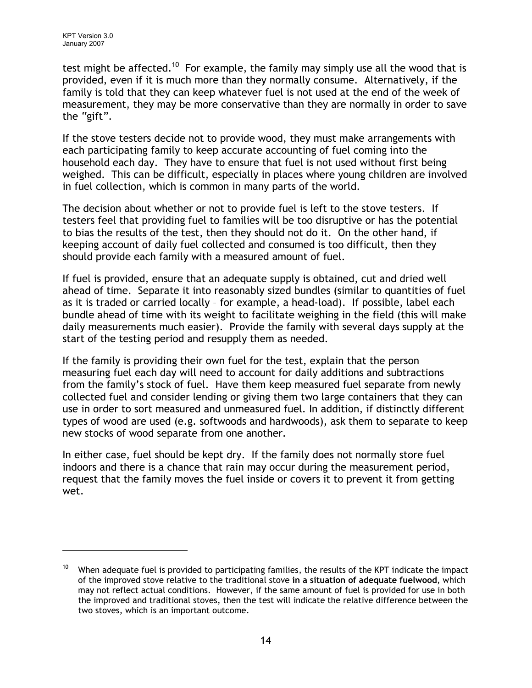test might be affected.<sup>10</sup> For example, the family may simply use all the wood that is provided, even if it is much more than they normally consume. Alternatively, if the family is told that they can keep whatever fuel is not used at the end of the week of measurement, they may be more conservative than they are normally in order to save the "gift".

If the stove testers decide not to provide wood, they must make arrangements with each participating family to keep accurate accounting of fuel coming into the household each day. They have to ensure that fuel is not used without first being weighed. This can be difficult, especially in places where young children are involved in fuel collection, which is common in many parts of the world.

The decision about whether or not to provide fuel is left to the stove testers. If testers feel that providing fuel to families will be too disruptive or has the potential to bias the results of the test, then they should not do it. On the other hand, if keeping account of daily fuel collected and consumed is too difficult, then they should provide each family with a measured amount of fuel.

If fuel is provided, ensure that an adequate supply is obtained, cut and dried well ahead of time. Separate it into reasonably sized bundles (similar to quantities of fuel as it is traded or carried locally – for example, a head-load). If possible, label each bundle ahead of time with its weight to facilitate weighing in the field (this will make daily measurements much easier). Provide the family with several days supply at the start of the testing period and resupply them as needed.

If the family is providing their own fuel for the test, explain that the person measuring fuel each day will need to account for daily additions and subtractions from the family's stock of fuel. Have them keep measured fuel separate from newly collected fuel and consider lending or giving them two large containers that they can use in order to sort measured and unmeasured fuel. In addition, if distinctly different types of wood are used (e.g. softwoods and hardwoods), ask them to separate to keep new stocks of wood separate from one another.

In either case, fuel should be kept dry. If the family does not normally store fuel indoors and there is a chance that rain may occur during the measurement period, request that the family moves the fuel inside or covers it to prevent it from getting wet.

<sup>&</sup>lt;sup>10</sup> When adequate fuel is provided to participating families, the results of the KPT indicate the impact of the improved stove relative to the traditional stove in a situation of adequate fuelwood, which may not reflect actual conditions. However, if the same amount of fuel is provided for use in both the improved and traditional stoves, then the test will indicate the relative difference between the two stoves, which is an important outcome.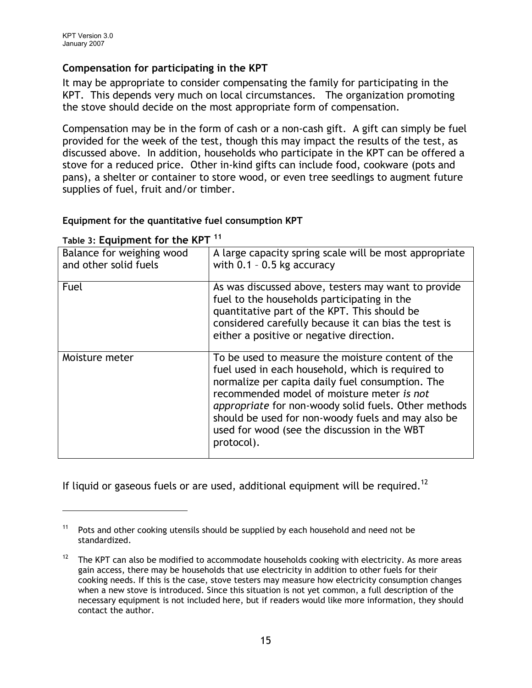### Compensation for participating in the KPT

It may be appropriate to consider compensating the family for participating in the KPT. This depends very much on local circumstances. The organization promoting the stove should decide on the most appropriate form of compensation.

Compensation may be in the form of cash or a non-cash gift. A gift can simply be fuel provided for the week of the test, though this may impact the results of the test, as discussed above. In addition, households who participate in the KPT can be offered a stove for a reduced price. Other in-kind gifts can include food, cookware (pots and pans), a shelter or container to store wood, or even tree seedlings to augment future supplies of fuel, fruit and/or timber.

#### Equipment for the quantitative fuel consumption KPT

| Balance for weighing wood<br>and other solid fuels | A large capacity spring scale will be most appropriate<br>with $0.1 - 0.5$ kg accuracy                                                                                                                                                                                                                                                                                               |
|----------------------------------------------------|--------------------------------------------------------------------------------------------------------------------------------------------------------------------------------------------------------------------------------------------------------------------------------------------------------------------------------------------------------------------------------------|
| Fuel                                               | As was discussed above, testers may want to provide<br>fuel to the households participating in the<br>quantitative part of the KPT. This should be<br>considered carefully because it can bias the test is<br>either a positive or negative direction.                                                                                                                               |
| Moisture meter                                     | To be used to measure the moisture content of the<br>fuel used in each household, which is required to<br>normalize per capita daily fuel consumption. The<br>recommended model of moisture meter is not<br>appropriate for non-woody solid fuels. Other methods<br>should be used for non-woody fuels and may also be<br>used for wood (see the discussion in the WBT<br>protocol). |

#### Table 3: Equipment for the KPT<sup>11</sup>

If liquid or gaseous fuels or are used, additional equipment will be required.<sup>12</sup>

<sup>&</sup>lt;sup>11</sup> Pots and other cooking utensils should be supplied by each household and need not be standardized.

<sup>&</sup>lt;sup>12</sup> The KPT can also be modified to accommodate households cooking with electricity. As more areas gain access, there may be households that use electricity in addition to other fuels for their cooking needs. If this is the case, stove testers may measure how electricity consumption changes when a new stove is introduced. Since this situation is not yet common, a full description of the necessary equipment is not included here, but if readers would like more information, they should contact the author.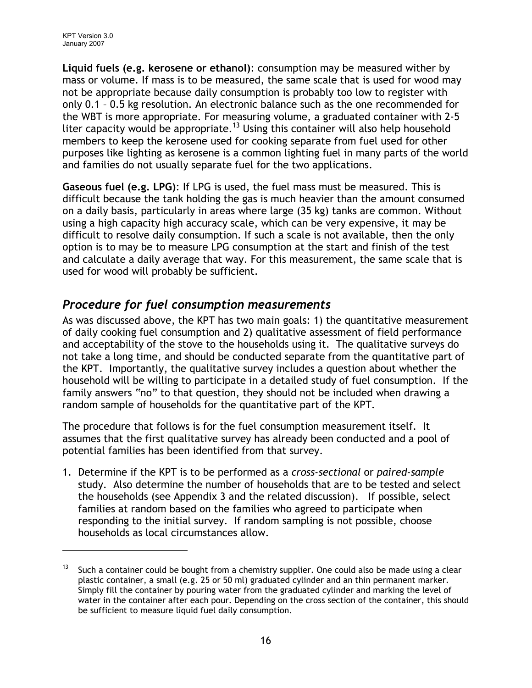Liquid fuels (e.g. kerosene or ethanol): consumption may be measured wither by mass or volume. If mass is to be measured, the same scale that is used for wood may not be appropriate because daily consumption is probably too low to register with only 0.1 – 0.5 kg resolution. An electronic balance such as the one recommended for the WBT is more appropriate. For measuring volume, a graduated container with 2-5 liter capacity would be appropriate.<sup>13</sup> Using this container will also help household members to keep the kerosene used for cooking separate from fuel used for other purposes like lighting as kerosene is a common lighting fuel in many parts of the world and families do not usually separate fuel for the two applications.

Gaseous fuel (e.g. LPG): If LPG is used, the fuel mass must be measured. This is difficult because the tank holding the gas is much heavier than the amount consumed on a daily basis, particularly in areas where large (35 kg) tanks are common. Without using a high capacity high accuracy scale, which can be very expensive, it may be difficult to resolve daily consumption. If such a scale is not available, then the only option is to may be to measure LPG consumption at the start and finish of the test and calculate a daily average that way. For this measurement, the same scale that is used for wood will probably be sufficient.

# Procedure for fuel consumption measurements

As was discussed above, the KPT has two main goals: 1) the quantitative measurement of daily cooking fuel consumption and 2) qualitative assessment of field performance and acceptability of the stove to the households using it. The qualitative surveys do not take a long time, and should be conducted separate from the quantitative part of the KPT. Importantly, the qualitative survey includes a question about whether the household will be willing to participate in a detailed study of fuel consumption. If the family answers "no" to that question, they should not be included when drawing a random sample of households for the quantitative part of the KPT.

The procedure that follows is for the fuel consumption measurement itself. It assumes that the first qualitative survey has already been conducted and a pool of potential families has been identified from that survey.

1. Determine if the KPT is to be performed as a cross-sectional or paired-sample study. Also determine the number of households that are to be tested and select the households (see Appendix 3 and the related discussion). If possible, select families at random based on the families who agreed to participate when responding to the initial survey. If random sampling is not possible, choose households as local circumstances allow.

 $13$  Such a container could be bought from a chemistry supplier. One could also be made using a clear plastic container, a small (e.g. 25 or 50 ml) graduated cylinder and an thin permanent marker. Simply fill the container by pouring water from the graduated cylinder and marking the level of water in the container after each pour. Depending on the cross section of the container, this should be sufficient to measure liquid fuel daily consumption.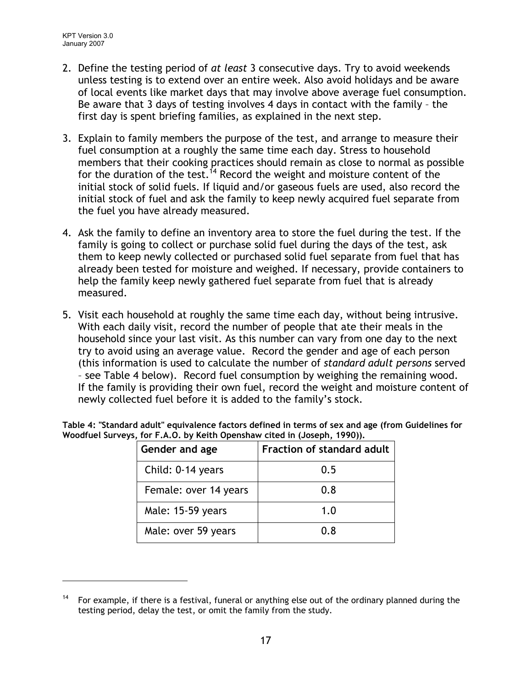- 2. Define the testing period of at least 3 consecutive days. Try to avoid weekends unless testing is to extend over an entire week. Also avoid holidays and be aware of local events like market days that may involve above average fuel consumption. Be aware that 3 days of testing involves 4 days in contact with the family – the first day is spent briefing families, as explained in the next step.
- 3. Explain to family members the purpose of the test, and arrange to measure their fuel consumption at a roughly the same time each day. Stress to household members that their cooking practices should remain as close to normal as possible for the duration of the test.<sup>14</sup> Record the weight and moisture content of the initial stock of solid fuels. If liquid and/or gaseous fuels are used, also record the initial stock of fuel and ask the family to keep newly acquired fuel separate from the fuel you have already measured.
- 4. Ask the family to define an inventory area to store the fuel during the test. If the family is going to collect or purchase solid fuel during the days of the test, ask them to keep newly collected or purchased solid fuel separate from fuel that has already been tested for moisture and weighed. If necessary, provide containers to help the family keep newly gathered fuel separate from fuel that is already measured.
- 5. Visit each household at roughly the same time each day, without being intrusive. With each daily visit, record the number of people that ate their meals in the household since your last visit. As this number can vary from one day to the next try to avoid using an average value. Record the gender and age of each person (this information is used to calculate the number of standard adult persons served – see Table 4 below). Record fuel consumption by weighing the remaining wood. If the family is providing their own fuel, record the weight and moisture content of newly collected fuel before it is added to the family's stock.

| Gender and age        | Fraction of standard adult |
|-----------------------|----------------------------|
| Child: 0-14 years     | 0.5                        |
| Female: over 14 years | 0.8                        |
| Male: 15-59 years     | 1.0                        |
| Male: over 59 years   | 0. R                       |

Table 4: "Standard adult" equivalence factors defined in terms of sex and age (from Guidelines for Woodfuel Surveys, for F.A.O. by Keith Openshaw cited in (Joseph, 1990)).

<sup>&</sup>lt;sup>14</sup> For example, if there is a festival, funeral or anything else out of the ordinary planned during the testing period, delay the test, or omit the family from the study.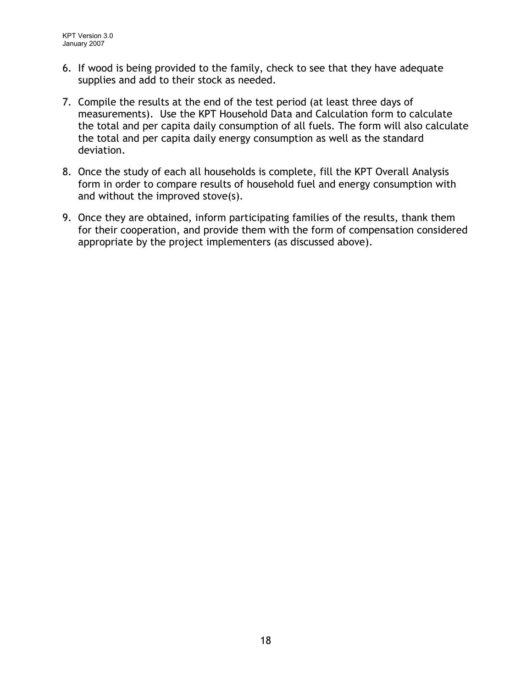- 6. If wood is being provided to the family, check to see that they have adequate supplies and add to their stock as needed.
- 7. Compile the results at the end of the test period (at least three days of measurements). Use the KPT Household Data and Calculation form to calculate the total and per capita daily consumption of all fuels. The form will also calculate the total and per capita daily energy consumption as well as the standard deviation.
- 8. Once the study of each all households is complete, fill the KPT Overall Analysis form in order to compare results of household fuel and energy consumption with and without the improved stove(s).
- 9. Once they are obtained, inform participating families of the results, thank them for their cooperation, and provide them with the form of compensation considered appropriate by the project implementers (as discussed above).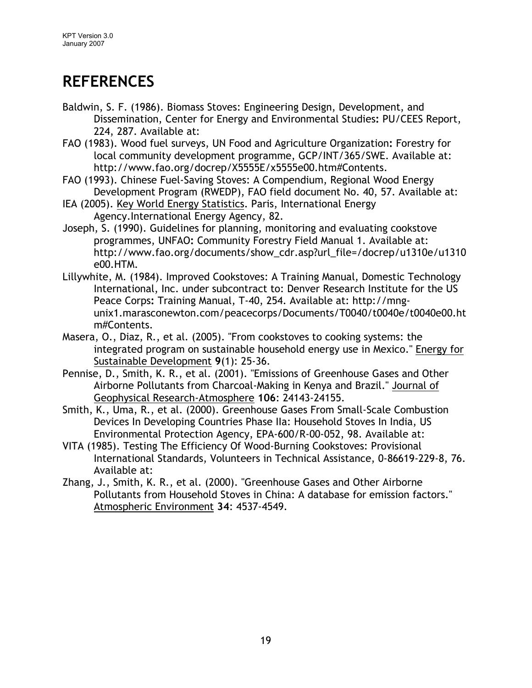# **REFERENCES**

- Baldwin, S. F. (1986). Biomass Stoves: Engineering Design, Development, and Dissemination, Center for Energy and Environmental Studies: PU/CEES Report, 224, 287. Available at:
- FAO (1983). Wood fuel surveys, UN Food and Agriculture Organization: Forestry for local community development programme, GCP/INT/365/SWE. Available at: http://www.fao.org/docrep/X5555E/x5555e00.htm#Contents.
- FAO (1993). Chinese Fuel-Saving Stoves: A Compendium, Regional Wood Energy Development Program (RWEDP), FAO field document No. 40, 57. Available at:
- IEA (2005). Key World Energy Statistics. Paris, International Energy Agency.International Energy Agency, 82.
- Joseph, S. (1990). Guidelines for planning, monitoring and evaluating cookstove programmes, UNFAO: Community Forestry Field Manual 1. Available at: http://www.fao.org/documents/show\_cdr.asp?url\_file=/docrep/u1310e/u1310 e00.HTM.
- Lillywhite, M. (1984). Improved Cookstoves: A Training Manual, Domestic Technology International, Inc. under subcontract to: Denver Research Institute for the US Peace Corps: Training Manual, T-40, 254. Available at: http://mngunix1.marasconewton.com/peacecorps/Documents/T0040/t0040e/t0040e00.ht m#Contents.
- Masera, O., Diaz, R., et al. (2005). "From cookstoves to cooking systems: the integrated program on sustainable household energy use in Mexico." Energy for Sustainable Development 9(1): 25-36.
- Pennise, D., Smith, K. R., et al. (2001). "Emissions of Greenhouse Gases and Other Airborne Pollutants from Charcoal-Making in Kenya and Brazil." Journal of Geophysical Research-Atmosphere 106: 24143-24155.
- Smith, K., Uma, R., et al. (2000). Greenhouse Gases From Small-Scale Combustion Devices In Developing Countries Phase IIa: Household Stoves In India, US Environmental Protection Agency, EPA-600/R-00-052, 98. Available at:
- VITA (1985). Testing The Efficiency Of Wood-Burning Cookstoves: Provisional International Standards, Volunteers in Technical Assistance, 0-86619-229-8, 76. Available at:
- Zhang, J., Smith, K. R., et al. (2000). "Greenhouse Gases and Other Airborne Pollutants from Household Stoves in China: A database for emission factors." Atmospheric Environment 34: 4537-4549.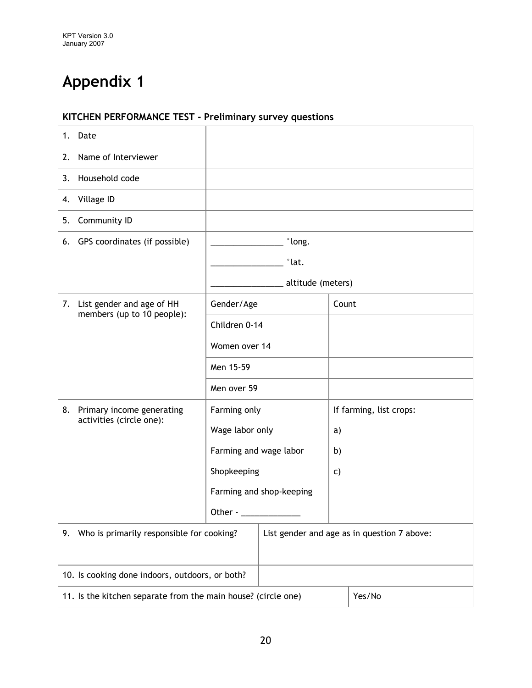# KITCHEN PERFORMANCE TEST - Preliminary survey questions

| Date<br>1. |                                                                         |                        |                          |                         |                                             |
|------------|-------------------------------------------------------------------------|------------------------|--------------------------|-------------------------|---------------------------------------------|
| 2.         | Name of Interviewer                                                     |                        |                          |                         |                                             |
| 3.         | Household code                                                          |                        |                          |                         |                                             |
| 4.         | Village ID                                                              |                        |                          |                         |                                             |
| 5.         | Community ID                                                            |                        |                          |                         |                                             |
|            | 6. GPS coordinates (if possible)                                        |                        | °long.                   |                         |                                             |
|            |                                                                         |                        | $\degree$ lat.           |                         |                                             |
|            |                                                                         |                        | altitude (meters)        |                         |                                             |
| 7.         | List gender and age of HH<br>members (up to 10 people):                 | Gender/Age             |                          | Count                   |                                             |
|            |                                                                         | Children 0-14          |                          |                         |                                             |
|            |                                                                         | Women over 14          |                          |                         |                                             |
|            |                                                                         | Men 15-59              |                          |                         |                                             |
|            |                                                                         | Men over 59            |                          |                         |                                             |
| 8.         | Primary income generating<br>activities (circle one):                   | Farming only           |                          | If farming, list crops: |                                             |
|            |                                                                         | Wage labor only        |                          | a)                      |                                             |
|            |                                                                         | Farming and wage labor |                          | b)                      |                                             |
|            |                                                                         | Shopkeeping            |                          | C)                      |                                             |
|            |                                                                         |                        | Farming and shop-keeping |                         |                                             |
|            |                                                                         | Other -                |                          |                         |                                             |
|            | 9. Who is primarily responsible for cooking?                            |                        |                          |                         | List gender and age as in question 7 above: |
|            |                                                                         |                        |                          |                         |                                             |
|            | 10. Is cooking done indoors, outdoors, or both?                         |                        |                          |                         |                                             |
|            | 11. Is the kitchen separate from the main house? (circle one)<br>Yes/No |                        |                          |                         |                                             |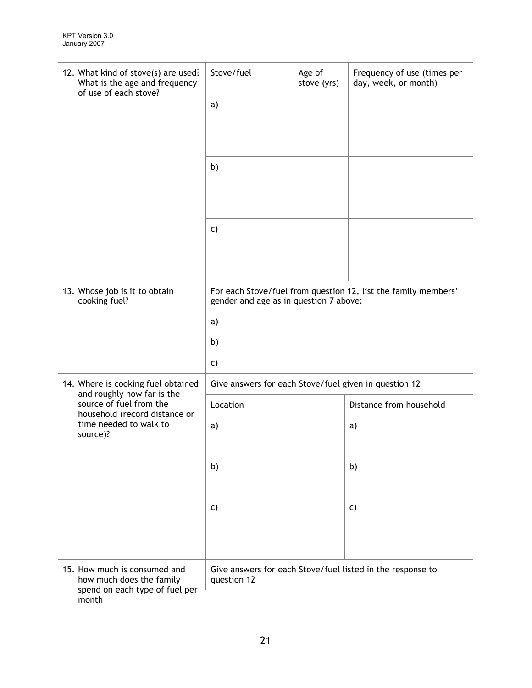| 12. What kind of stove(s) are used?<br>What is the age and frequency<br>of use of each stove?       | Stove/fuel<br>Age of<br>stove (yrs)                                                                      |  | Frequency of use (times per<br>day, week, or month)        |  |  |
|-----------------------------------------------------------------------------------------------------|----------------------------------------------------------------------------------------------------------|--|------------------------------------------------------------|--|--|
|                                                                                                     | a)                                                                                                       |  |                                                            |  |  |
|                                                                                                     |                                                                                                          |  |                                                            |  |  |
|                                                                                                     |                                                                                                          |  |                                                            |  |  |
|                                                                                                     | b)                                                                                                       |  |                                                            |  |  |
|                                                                                                     |                                                                                                          |  |                                                            |  |  |
|                                                                                                     | C)                                                                                                       |  |                                                            |  |  |
|                                                                                                     |                                                                                                          |  |                                                            |  |  |
|                                                                                                     |                                                                                                          |  |                                                            |  |  |
| 13. Whose job is it to obtain<br>cooking fuel?                                                      | For each Stove/fuel from question 12, list the family members'<br>gender and age as in question 7 above: |  |                                                            |  |  |
|                                                                                                     | a)                                                                                                       |  |                                                            |  |  |
|                                                                                                     | b)                                                                                                       |  |                                                            |  |  |
|                                                                                                     | c)                                                                                                       |  |                                                            |  |  |
| 14. Where is cooking fuel obtained<br>and roughly how far is the                                    | Give answers for each Stove/fuel given in question 12                                                    |  |                                                            |  |  |
| source of fuel from the<br>household (record distance or                                            | Location                                                                                                 |  | Distance from household                                    |  |  |
| time needed to walk to<br>source)?                                                                  | a)                                                                                                       |  | a)                                                         |  |  |
|                                                                                                     |                                                                                                          |  |                                                            |  |  |
|                                                                                                     | b)                                                                                                       |  | b)                                                         |  |  |
|                                                                                                     |                                                                                                          |  |                                                            |  |  |
|                                                                                                     | C)                                                                                                       |  | $\mathsf{C}$                                               |  |  |
|                                                                                                     |                                                                                                          |  |                                                            |  |  |
| 15. How much is consumed and<br>how much does the family<br>spend on each type of fuel per<br>month | question 12                                                                                              |  | Give answers for each Stove/fuel listed in the response to |  |  |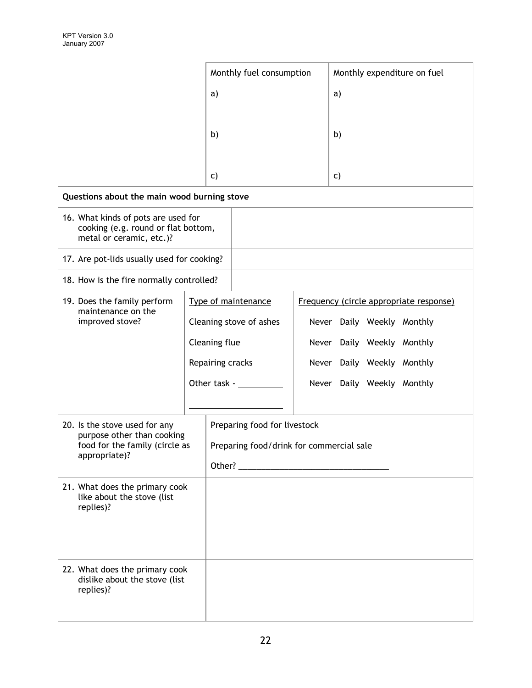|                                                                                                        |                  | Monthly fuel consumption                 |  | Monthly expenditure on fuel |                            |                                         |
|--------------------------------------------------------------------------------------------------------|------------------|------------------------------------------|--|-----------------------------|----------------------------|-----------------------------------------|
|                                                                                                        | a)               |                                          |  | a)                          |                            |                                         |
|                                                                                                        |                  |                                          |  |                             |                            |                                         |
|                                                                                                        | b)               |                                          |  | b)                          |                            |                                         |
|                                                                                                        |                  |                                          |  |                             |                            |                                         |
|                                                                                                        | C)               |                                          |  | C)                          |                            |                                         |
| Questions about the main wood burning stove                                                            |                  |                                          |  |                             |                            |                                         |
| 16. What kinds of pots are used for<br>cooking (e.g. round or flat bottom,<br>metal or ceramic, etc.)? |                  |                                          |  |                             |                            |                                         |
| 17. Are pot-lids usually used for cooking?                                                             |                  |                                          |  |                             |                            |                                         |
| 18. How is the fire normally controlled?                                                               |                  |                                          |  |                             |                            |                                         |
| 19. Does the family perform<br>maintenance on the                                                      |                  | Type of maintenance                      |  |                             |                            | Frequency (circle appropriate response) |
| improved stove?                                                                                        |                  | Cleaning stove of ashes                  |  |                             | Never Daily Weekly Monthly |                                         |
|                                                                                                        | Cleaning flue    |                                          |  |                             | Never Daily Weekly Monthly |                                         |
|                                                                                                        | Repairing cracks |                                          |  |                             | Never Daily Weekly Monthly |                                         |
|                                                                                                        | Other task -     |                                          |  |                             | Never Daily Weekly Monthly |                                         |
|                                                                                                        |                  |                                          |  |                             |                            |                                         |
| 20. Is the stove used for any<br>purpose other than cooking                                            |                  | Preparing food for livestock             |  |                             |                            |                                         |
| food for the family (circle as<br>appropriate)?                                                        |                  | Preparing food/drink for commercial sale |  |                             |                            |                                         |
|                                                                                                        |                  |                                          |  |                             |                            |                                         |
| 21. What does the primary cook<br>like about the stove (list<br>replies)?                              |                  |                                          |  |                             |                            |                                         |
|                                                                                                        |                  |                                          |  |                             |                            |                                         |
| 22. What does the primary cook<br>dislike about the stove (list<br>replies)?                           |                  |                                          |  |                             |                            |                                         |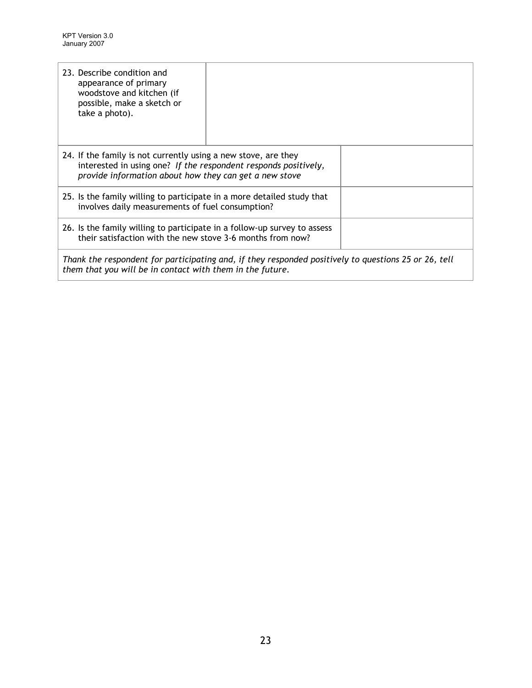| 23. Describe condition and<br>appearance of primary<br>woodstove and kitchen (if<br>possible, make a sketch or<br>take a photo).                                  |                                                                                                                                                                                             |  |  |  |  |
|-------------------------------------------------------------------------------------------------------------------------------------------------------------------|---------------------------------------------------------------------------------------------------------------------------------------------------------------------------------------------|--|--|--|--|
|                                                                                                                                                                   | 24. If the family is not currently using a new stove, are they<br>interested in using one? If the respondent responds positively,<br>provide information about how they can get a new stove |  |  |  |  |
| 25. Is the family willing to participate in a more detailed study that<br>involves daily measurements of fuel consumption?                                        |                                                                                                                                                                                             |  |  |  |  |
| 26. Is the family willing to participate in a follow-up survey to assess<br>their satisfaction with the new stove 3-6 months from now?                            |                                                                                                                                                                                             |  |  |  |  |
| Thank the respondent for participating and, if they responded positively to questions 25 or 26, tell<br>them that you will be in contact with them in the future. |                                                                                                                                                                                             |  |  |  |  |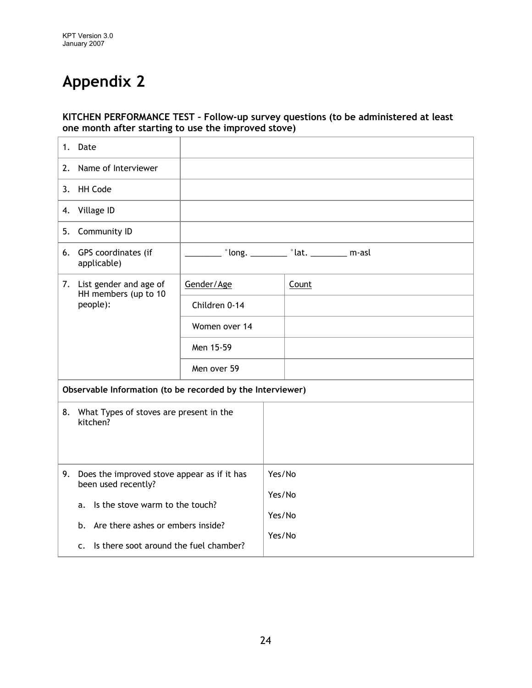#### KITCHEN PERFORMANCE TEST – Follow-up survey questions (to be administered at least one month after starting to use the improved stove)

| 1. | Date                                                               |                                                                             |                  |                                                            |
|----|--------------------------------------------------------------------|-----------------------------------------------------------------------------|------------------|------------------------------------------------------------|
| 2. | Name of Interviewer                                                |                                                                             |                  |                                                            |
| 3. | <b>HH Code</b>                                                     |                                                                             |                  |                                                            |
| 4. | Village ID                                                         |                                                                             |                  |                                                            |
| 5. | Community ID                                                       |                                                                             |                  |                                                            |
|    | 6. GPS coordinates (if<br>applicable)                              |                                                                             |                  | $\degree$ long. _________ $\degree$ lat. ___________ m-asl |
|    | 7. List gender and age of<br>HH members (up to 10                  | Gender/Age                                                                  |                  | Count                                                      |
|    | people):                                                           | Children 0-14                                                               |                  |                                                            |
|    |                                                                    | Women over 14                                                               |                  |                                                            |
|    |                                                                    | Men 15-59                                                                   |                  |                                                            |
|    |                                                                    | Men over 59                                                                 |                  |                                                            |
|    | Observable Information (to be recorded by the Interviewer)         |                                                                             |                  |                                                            |
| 8. | What Types of stoves are present in the<br>kitchen?                |                                                                             |                  |                                                            |
| 9. | Does the improved stove appear as if it has<br>been used recently? |                                                                             | Yes/No           |                                                            |
|    | Is the stove warm to the touch?<br>a.                              |                                                                             | Yes/No<br>Yes/No |                                                            |
|    | b.<br>$\mathsf{C}$ .                                               | Are there ashes or embers inside?<br>Is there soot around the fuel chamber? |                  | Yes/No                                                     |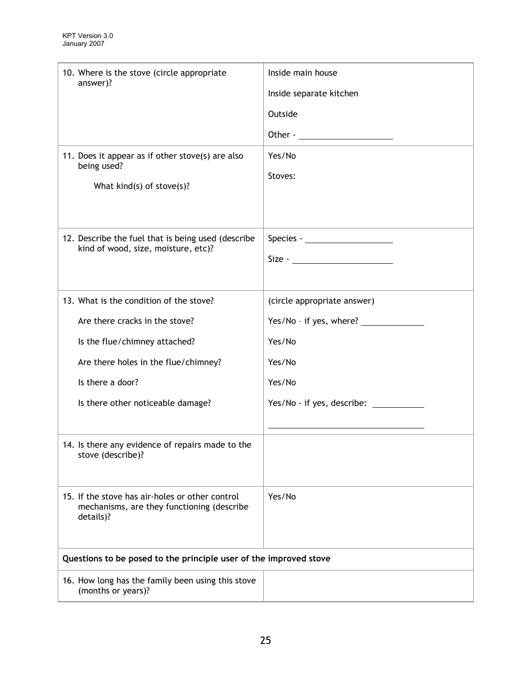| 10. Where is the stove (circle appropriate                                                                 | Inside main house           |
|------------------------------------------------------------------------------------------------------------|-----------------------------|
| answer)?                                                                                                   |                             |
|                                                                                                            | Inside separate kitchen     |
|                                                                                                            | Outside                     |
|                                                                                                            |                             |
| 11. Does it appear as if other stove(s) are also                                                           | Yes/No                      |
| being used?                                                                                                | Stoves:                     |
| What $kind(s)$ of $store(s)$ ?                                                                             |                             |
|                                                                                                            |                             |
|                                                                                                            |                             |
| 12. Describe the fuel that is being used (describe<br>kind of wood, size, moisture, etc)?                  | Species - $\frac{1}{2}$     |
|                                                                                                            |                             |
|                                                                                                            |                             |
| 13. What is the condition of the stove?                                                                    | (circle appropriate answer) |
| Are there cracks in the stove?                                                                             |                             |
| Is the flue/chimney attached?                                                                              | Yes/No                      |
| Are there holes in the flue/chimney?                                                                       | Yes/No                      |
| Is there a door?                                                                                           | Yes/No                      |
| Is there other noticeable damage?                                                                          |                             |
|                                                                                                            |                             |
| 14. Is there any evidence of repairs made to the<br>stove (describe)?                                      |                             |
| 15. If the stove has air-holes or other control<br>mechanisms, are they functioning (describe<br>details)? | Yes/No                      |
| Questions to be posed to the principle user of the improved stove                                          |                             |
| 16. How long has the family been using this stove<br>(months or years)?                                    |                             |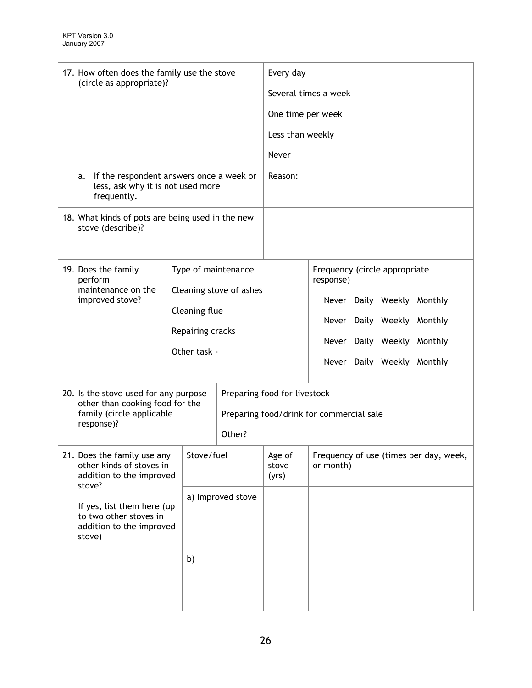| 17. How often does the family use the stove                                                        | Every day                                        |                         |                                                                                                                                                                                                                                |                                            |  |                            |                                        |  |  |  |
|----------------------------------------------------------------------------------------------------|--------------------------------------------------|-------------------------|--------------------------------------------------------------------------------------------------------------------------------------------------------------------------------------------------------------------------------|--------------------------------------------|--|----------------------------|----------------------------------------|--|--|--|
| (circle as appropriate)?                                                                           | Several times a week                             |                         |                                                                                                                                                                                                                                |                                            |  |                            |                                        |  |  |  |
|                                                                                                    | One time per week                                |                         |                                                                                                                                                                                                                                |                                            |  |                            |                                        |  |  |  |
|                                                                                                    |                                                  |                         |                                                                                                                                                                                                                                |                                            |  |                            |                                        |  |  |  |
|                                                                                                    |                                                  |                         | Less than weekly                                                                                                                                                                                                               |                                            |  |                            |                                        |  |  |  |
|                                                                                                    |                                                  |                         | Never                                                                                                                                                                                                                          |                                            |  |                            |                                        |  |  |  |
| If the respondent answers once a week or<br>a.<br>less, ask why it is not used more<br>frequently. |                                                  |                         | Reason:                                                                                                                                                                                                                        |                                            |  |                            |                                        |  |  |  |
| stove (describe)?                                                                                  | 18. What kinds of pots are being used in the new |                         |                                                                                                                                                                                                                                |                                            |  |                            |                                        |  |  |  |
|                                                                                                    |                                                  |                         |                                                                                                                                                                                                                                |                                            |  |                            |                                        |  |  |  |
| 19. Does the family<br>perform<br>maintenance on the                                               | Type of maintenance                              |                         |                                                                                                                                                                                                                                | Frequency (circle appropriate<br>response) |  |                            |                                        |  |  |  |
| improved stove?                                                                                    |                                                  | Cleaning stove of ashes |                                                                                                                                                                                                                                |                                            |  | Never Daily Weekly Monthly |                                        |  |  |  |
|                                                                                                    | Cleaning flue                                    |                         |                                                                                                                                                                                                                                |                                            |  | Never Daily Weekly Monthly |                                        |  |  |  |
|                                                                                                    | Repairing cracks                                 |                         |                                                                                                                                                                                                                                |                                            |  | Never Daily Weekly Monthly |                                        |  |  |  |
|                                                                                                    | Other task - <u>www.community-</u>               |                         |                                                                                                                                                                                                                                |                                            |  | Never Daily Weekly Monthly |                                        |  |  |  |
|                                                                                                    |                                                  |                         |                                                                                                                                                                                                                                |                                            |  |                            |                                        |  |  |  |
| 20. Is the stove used for any purpose                                                              |                                                  |                         | Preparing food for livestock                                                                                                                                                                                                   |                                            |  |                            |                                        |  |  |  |
| other than cooking food for the<br>family (circle applicable                                       |                                                  |                         | Preparing food/drink for commercial sale                                                                                                                                                                                       |                                            |  |                            |                                        |  |  |  |
| response)?                                                                                         |                                                  |                         | Other? The contract of the contract of the contract of the contract of the contract of the contract of the contract of the contract of the contract of the contract of the contract of the contract of the contract of the con |                                            |  |                            |                                        |  |  |  |
|                                                                                                    |                                                  |                         |                                                                                                                                                                                                                                |                                            |  |                            |                                        |  |  |  |
| 21. Does the family use any<br>other kinds of stoves in<br>addition to the improved                | Stove/fuel                                       |                         | Age of<br>stove<br>(yrs)                                                                                                                                                                                                       | or month)                                  |  |                            | Frequency of use (times per day, week, |  |  |  |
| stove?                                                                                             |                                                  | a) Improved stove       |                                                                                                                                                                                                                                |                                            |  |                            |                                        |  |  |  |
| to two other stoves in                                                                             | If yes, list them here (up                       |                         |                                                                                                                                                                                                                                |                                            |  |                            |                                        |  |  |  |
| addition to the improved<br>stove)                                                                 |                                                  |                         |                                                                                                                                                                                                                                |                                            |  |                            |                                        |  |  |  |
|                                                                                                    | b)                                               |                         |                                                                                                                                                                                                                                |                                            |  |                            |                                        |  |  |  |
|                                                                                                    |                                                  |                         |                                                                                                                                                                                                                                |                                            |  |                            |                                        |  |  |  |
|                                                                                                    |                                                  |                         |                                                                                                                                                                                                                                |                                            |  |                            |                                        |  |  |  |
|                                                                                                    |                                                  |                         |                                                                                                                                                                                                                                |                                            |  |                            |                                        |  |  |  |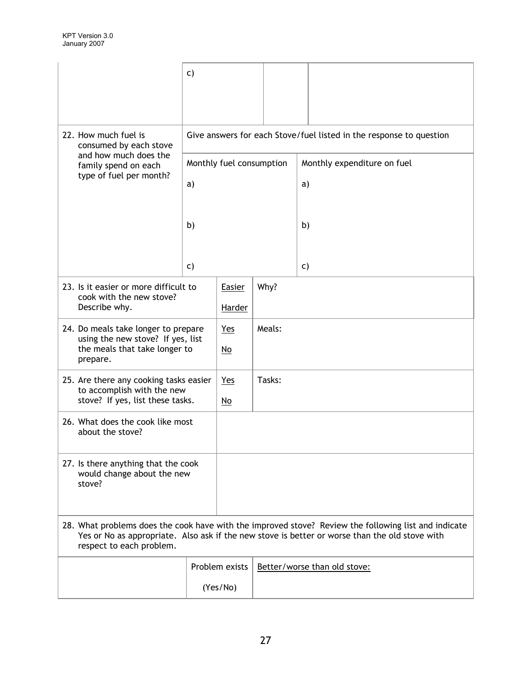|                                                                                | $\mathsf{C}$                                                        |                           |        |                                                                                                                                                                                                        |                              |  |  |  |
|--------------------------------------------------------------------------------|---------------------------------------------------------------------|---------------------------|--------|--------------------------------------------------------------------------------------------------------------------------------------------------------------------------------------------------------|------------------------------|--|--|--|
|                                                                                |                                                                     |                           |        |                                                                                                                                                                                                        |                              |  |  |  |
| 22. How much fuel is<br>consumed by each stove                                 | Give answers for each Stove/fuel listed in the response to question |                           |        |                                                                                                                                                                                                        |                              |  |  |  |
| and how much does the<br>family spend on each                                  |                                                                     | Monthly fuel consumption  |        |                                                                                                                                                                                                        | Monthly expenditure on fuel  |  |  |  |
| type of fuel per month?                                                        | a)                                                                  |                           |        | a)                                                                                                                                                                                                     |                              |  |  |  |
|                                                                                |                                                                     |                           |        |                                                                                                                                                                                                        |                              |  |  |  |
|                                                                                | b)                                                                  |                           |        | b)                                                                                                                                                                                                     |                              |  |  |  |
|                                                                                |                                                                     |                           |        |                                                                                                                                                                                                        |                              |  |  |  |
|                                                                                | C)                                                                  |                           |        | C)                                                                                                                                                                                                     |                              |  |  |  |
| 23. Is it easier or more difficult to                                          |                                                                     | Easier                    | Why?   |                                                                                                                                                                                                        |                              |  |  |  |
| cook with the new stove?<br>Describe why.                                      |                                                                     | <b>Harder</b>             |        |                                                                                                                                                                                                        |                              |  |  |  |
| 24. Do meals take longer to prepare                                            |                                                                     | Yes                       | Meals: |                                                                                                                                                                                                        |                              |  |  |  |
| using the new stove? If yes, list<br>the meals that take longer to<br>prepare. |                                                                     | $\underline{\mathsf{No}}$ |        |                                                                                                                                                                                                        |                              |  |  |  |
| 25. Are there any cooking tasks easier                                         |                                                                     | Yes                       | Tasks: |                                                                                                                                                                                                        |                              |  |  |  |
| to accomplish with the new<br>stove? If yes, list these tasks.                 |                                                                     | $\underline{\mathsf{No}}$ |        |                                                                                                                                                                                                        |                              |  |  |  |
| about the stove?                                                               | 26. What does the cook like most                                    |                           |        |                                                                                                                                                                                                        |                              |  |  |  |
| 27. Is there anything that the cook<br>would change about the new<br>stove?    |                                                                     |                           |        |                                                                                                                                                                                                        |                              |  |  |  |
|                                                                                |                                                                     |                           |        |                                                                                                                                                                                                        |                              |  |  |  |
| respect to each problem.                                                       |                                                                     |                           |        | 28. What problems does the cook have with the improved stove? Review the following list and indicate<br>Yes or No as appropriate. Also ask if the new stove is better or worse than the old stove with |                              |  |  |  |
|                                                                                |                                                                     | Problem exists            |        |                                                                                                                                                                                                        | Better/worse than old stove: |  |  |  |
|                                                                                |                                                                     | (Yes/No)                  |        |                                                                                                                                                                                                        |                              |  |  |  |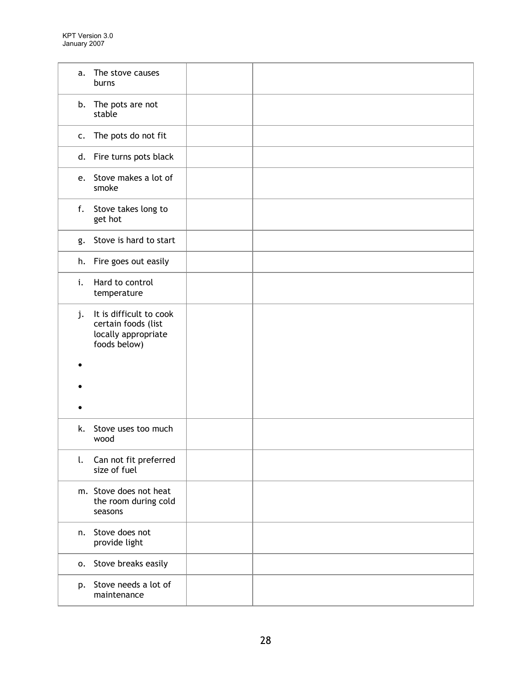| a. | The stove causes<br>burns                                                             |  |
|----|---------------------------------------------------------------------------------------|--|
|    | b. The pots are not<br>stable                                                         |  |
| c. | The pots do not fit                                                                   |  |
|    | d. Fire turns pots black                                                              |  |
|    | e. Stove makes a lot of<br>smoke                                                      |  |
|    | f. Stove takes long to<br>get hot                                                     |  |
| g. | Stove is hard to start                                                                |  |
|    | h. Fire goes out easily                                                               |  |
| i. | Hard to control<br>temperature                                                        |  |
| j. | It is difficult to cook<br>certain foods (list<br>locally appropriate<br>foods below) |  |
|    |                                                                                       |  |
|    |                                                                                       |  |
|    |                                                                                       |  |
| k. | Stove uses too much<br>wood                                                           |  |
| l. | Can not fit preferred<br>size of fuel                                                 |  |
|    | m. Stove does not heat<br>the room during cold<br>seasons                             |  |
| n. | Stove does not<br>provide light                                                       |  |
|    | o. Stove breaks easily                                                                |  |
|    | p. Stove needs a lot of<br>maintenance                                                |  |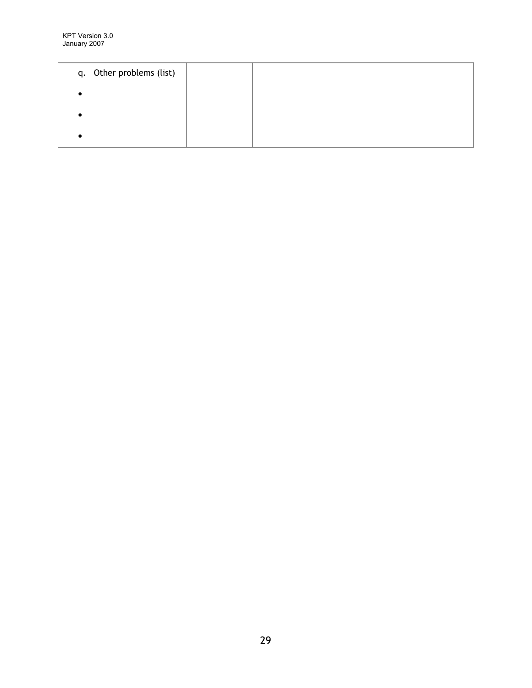| q. Other problems (list) |  |  |
|--------------------------|--|--|
|                          |  |  |
|                          |  |  |
|                          |  |  |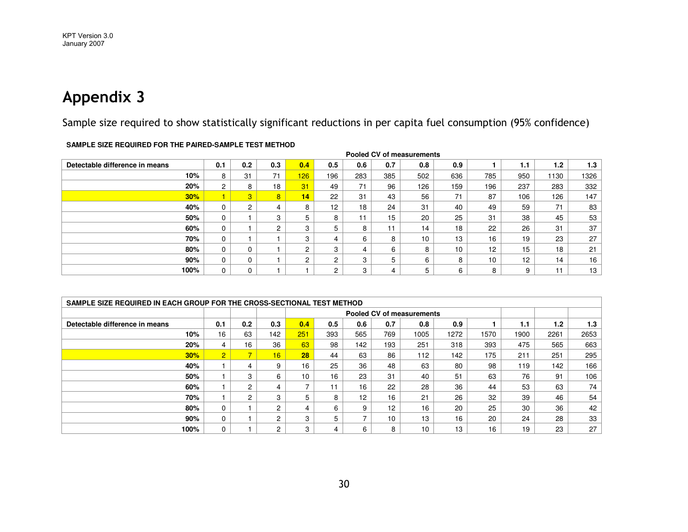Sample size required to show statistically significant reductions in per capita fuel consumption (95% confidence)

|                                | Pooled CV of measurements |                |                |     |                 |     |     |     |     |                 |     |      |      |
|--------------------------------|---------------------------|----------------|----------------|-----|-----------------|-----|-----|-----|-----|-----------------|-----|------|------|
| Detectable difference in means | 0.1                       | 0.2            | 0.3            | 0.4 | 0.5             | 0.6 | 0.7 | 0.8 | 0.9 |                 | 1.1 | 1.2  | 1.3  |
| 10%                            | 8                         | 31             | 71             | 126 | 196             | 283 | 385 | 502 | 636 | 785             | 950 | 1130 | 1326 |
| 20%                            | $\overline{c}$            | 8              | 18             | 31  | 49              | 71  | 96  | 126 | 159 | 196             | 237 | 283  | 332  |
| 30%                            |                           | 3              | 8              | 14  | 22              | 31  | 43  | 56  | 71  | 87              | 106 | 126  | 147  |
| 40%                            | 0                         | $\overline{2}$ | 4              | 8   | 12 <sup>2</sup> | 18  | 24  | 31  | 40  | 49              | 59  | 71   | 83   |
| 50%                            | 0                         |                | 3              | 5   | 8               | 11  | 15  | 20  | 25  | 31              | 38  | 45   | 53   |
| 60%                            | 0                         |                | $\overline{c}$ | 3   | 5               | 8   | 11  | 14  | 18  | 22              | 26  | 31   | 37   |
| 70%                            | 0                         |                |                | 3   | 4               | 6   | 8   | 10  | 13  | 16              | 19  | 23   | 27   |
| 80%                            | 0                         | U.             |                | 2   | 3               | 4   | 6   | 8   | 10  | 12              | 15  | 18   | 21   |
| 90%                            | 0                         | 0              |                | 2   | 2               | 3   | 5   | 6   | 8   | 10 <sup>°</sup> | 12  | 14   | 16   |
| 100%                           | 0                         | C<br>υ         |                |     | 2               | 3   | 4   | 5   | 6   | 8               | 9   | -4   | 13   |
|                                |                           |                |                |     |                 |     |     |     |     |                 |     |      |      |

**SAMPLE SIZE REQUIRED FOR THE PAIRED-SAMPLE TEST METHOD**

| SAMPLE SIZE REQUIRED IN EACH GROUP FOR THE CROSS-SECTIONAL TEST METHOD |                |                |                |                           |     |                          |     |      |      |      |      |      |      |
|------------------------------------------------------------------------|----------------|----------------|----------------|---------------------------|-----|--------------------------|-----|------|------|------|------|------|------|
|                                                                        |                |                |                | Pooled CV of measurements |     |                          |     |      |      |      |      |      |      |
| Detectable difference in means                                         | 0.1            | 0.2            | 0.3            | 0.4                       | 0.5 | 0.6                      | 0.7 | 0.8  | 0.9  |      | 1.1  | 1.2  | 1.3  |
| 10%                                                                    | 16             | 63             | 142            | 251                       | 393 | 565                      | 769 | 1005 | 1272 | 1570 | 1900 | 2261 | 2653 |
| 20%                                                                    | 4              | 16             | 36             | 63                        | 98  | 142                      | 193 | 251  | 318  | 393  | 475  | 565  | 663  |
| 30%                                                                    | $\overline{2}$ | $\overline{7}$ | 16             | 28                        | 44  | 63                       | 86  | 112  | 142  | 175  | 211  | 251  | 295  |
| 40%                                                                    |                | 4              | 9              | 16                        | 25  | 36                       | 48  | 63   | 80   | 98   | 119  | 142  | 166  |
| 50%                                                                    |                | 3              | 6              | 10 <sup>1</sup>           | 16  | 23                       | 31  | 40   | 51   | 63   | 76   | 91   | 106  |
| 60%                                                                    |                | $\overline{2}$ | 4              | 7                         | 11  | 16                       | 22  | 28   | 36   | 44   | 53   | 63   | 74   |
| 70%                                                                    |                | $\overline{2}$ | 3              | 5                         | 8   | 12                       | 16  | 21   | 26   | 32   | 39   | 46   | 54   |
| 80%                                                                    | 0              |                | $\overline{2}$ | 4                         | 6   | 9                        | 12  | 16   | 20   | 25   | 30   | 36   | 42   |
| 90%                                                                    | $\mathbf 0$    |                | 2              | 3                         | 5   | $\overline{\phantom{a}}$ | 10  | 13   | 16   | 20   | 24   | 28   | 33   |
| 100%                                                                   | 0              |                | $\overline{2}$ | 3                         | 4   | 6                        | 8   | 10   | 13   | 16   | 19   | 23   | 27   |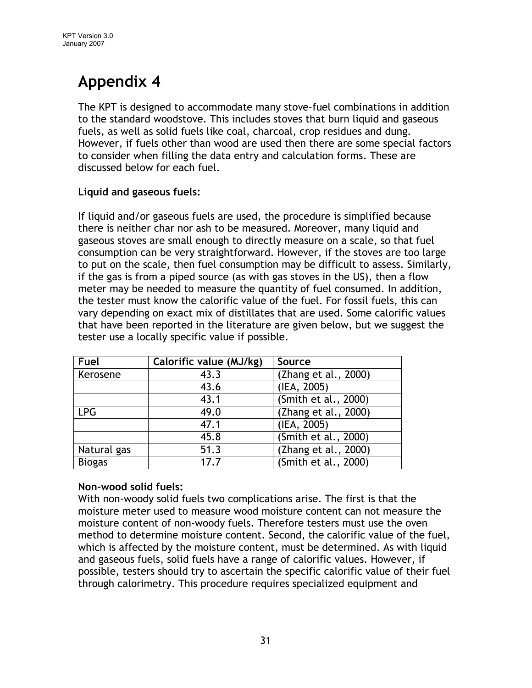The KPT is designed to accommodate many stove-fuel combinations in addition to the standard woodstove. This includes stoves that burn liquid and gaseous fuels, as well as solid fuels like coal, charcoal, crop residues and dung. However, if fuels other than wood are used then there are some special factors to consider when filling the data entry and calculation forms. These are discussed below for each fuel.

## Liquid and gaseous fuels:

If liquid and/or gaseous fuels are used, the procedure is simplified because there is neither char nor ash to be measured. Moreover, many liquid and gaseous stoves are small enough to directly measure on a scale, so that fuel consumption can be very straightforward. However, if the stoves are too large to put on the scale, then fuel consumption may be difficult to assess. Similarly, if the gas is from a piped source (as with gas stoves in the US), then a flow meter may be needed to measure the quantity of fuel consumed. In addition, the tester must know the calorific value of the fuel. For fossil fuels, this can vary depending on exact mix of distillates that are used. Some calorific values that have been reported in the literature are given below, but we suggest the tester use a locally specific value if possible.

| Fuel          | Calorific value (MJ/kg) | Source               |
|---------------|-------------------------|----------------------|
| Kerosene      | 43.3                    | (Zhang et al., 2000) |
|               | 43.6                    | (IEA, 2005)          |
|               | 43.1                    | (Smith et al., 2000) |
| <b>LPG</b>    | 49.0                    | (Zhang et al., 2000) |
|               | 47.1                    | (IEA, 2005)          |
|               | 45.8                    | (Smith et al., 2000) |
| Natural gas   | 51.3                    | (Zhang et al., 2000) |
| <b>Biogas</b> | 17.7                    | (Smith et al., 2000) |

## Non-wood solid fuels:

With non-woody solid fuels two complications arise. The first is that the moisture meter used to measure wood moisture content can not measure the moisture content of non-woody fuels. Therefore testers must use the oven method to determine moisture content. Second, the calorific value of the fuel, which is affected by the moisture content, must be determined. As with liquid and gaseous fuels, solid fuels have a range of calorific values. However, if possible, testers should try to ascertain the specific calorific value of their fuel through calorimetry. This procedure requires specialized equipment and